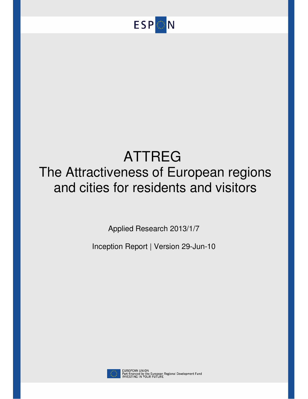

# ATTREG The Attractiveness of European regions and cities for residents and visitors

Applied Research 2013/1/7

Inception Report | Version 29-Jun-10



EUROPEAN UNION<br>Part-financed by the European Regional Development Fund<br>INVESTING IN YOUR FUTURE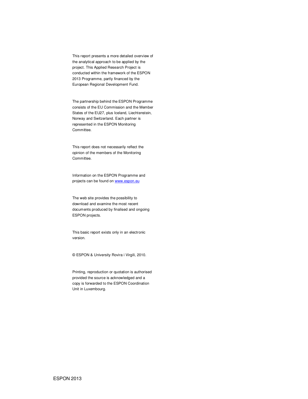This report presents a more detailed overview of the analytical approach to be applied by the project. This Applied Research Project is conducted within the framework of the ESPON 2013 Programme, partly financed by the European Regional Development Fund.

The partnership behind the ESPON Programme consists of the EU Commission and the Member States of the EU27, plus Iceland, Liechtenstein, Norway and Switzerland. Each partner is represented in the ESPON Monitoring Committee.

This report does not necessarily reflect the opinion of the members of the Monitoring Committee.

Information on the ESPON Programme and projects can be found on www.espon.eu

The web site provides the possibility to download and examine the most recent documents produced by finalised and ongoing ESPON projects.

This basic report exists only in an electronic version.

© ESPON & University Rovira i Virgili, 2010.

Printing, reproduction or quotation is authorised provided the source is acknowledged and a copy is forwarded to the ESPON Coordination Unit in Luxembourg.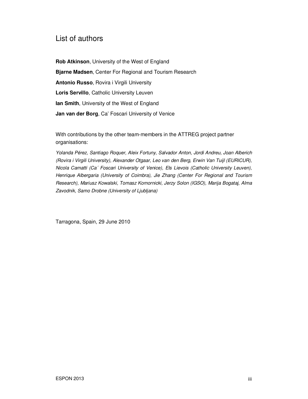# List of authors

**Rob Atkinson**, University of the West of England **Bjarne Madsen**, Center For Regional and Tourism Research **Antonio Russo**, Rovira i Virgili University **Loris Servillo**, Catholic University Leuven **Ian Smith, University of the West of England Jan van der Borg**, Ca' Foscari University of Venice

With contributions by the other team-members in the ATTREG project partner organisations:

Yolanda Pérez, Santiago Roquer, Aleix Fortuny, Salvador Anton, Jordi Andreu, Joan Alberich (Rovira i Virgili University), Alexander Otgaar, Leo van den Berg, Erwin Van Tuijl (EURICUR), Nicola Camatti (Ca´ Foscari University of Venice), Els Lievois (Catholic University Leuven), Henrique Albergaria (University of Coimbra), Jie Zhang (Center For Regional and Tourism Research), Mariusz Kowalski, Tomasz Komornicki, Jerzy Solon (IGSO), Marija Bogataj, Alma Zavodnik, Samo Drobne (University of Ljubljana)

Tarragona, Spain, 29 June 2010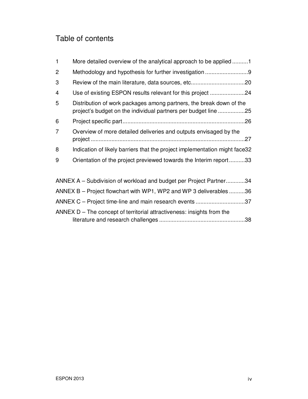# Table of contents

| $\mathbf{1}$   | More detailed overview of the analytical approach to be applied 1                                                                     |  |
|----------------|---------------------------------------------------------------------------------------------------------------------------------------|--|
| 2              |                                                                                                                                       |  |
| 3              |                                                                                                                                       |  |
| 4              | Use of existing ESPON results relevant for this project 24                                                                            |  |
| 5              | Distribution of work packages among partners, the break down of the<br>project's budget on the individual partners per budget line 25 |  |
| 6              |                                                                                                                                       |  |
| $\overline{7}$ | Overview of more detailed deliveries and outputs envisaged by the                                                                     |  |
| 8              | Indication of likely barriers that the project implementation might face32                                                            |  |
| 9              | Orientation of the project previewed towards the Interim report33                                                                     |  |
|                |                                                                                                                                       |  |
|                | ANNEX A – Subdivision of workload and budget per Project Partner34                                                                    |  |
|                | ANNEX B – Project flowchart with WP1, WP2 and WP 3 deliverables 36                                                                    |  |
|                | ANNEX C – Project time-line and main research events 37                                                                               |  |
|                | ANNEX $D$ – The concept of territorial attractiveness: insights from the<br>.38                                                       |  |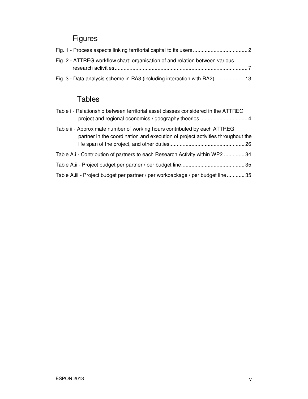# Figures

| Fig. 2 - ATTREG workflow chart: organisation of and relation between various |  |
|------------------------------------------------------------------------------|--|
|                                                                              |  |
| Fig. 3 - Data analysis scheme in RA3 (including interaction with RA2) 13     |  |

# Tables

| Table i - Relationship between territorial asset classes considered in the ATTREG<br>project and regional economics / geography theories  4                 |
|-------------------------------------------------------------------------------------------------------------------------------------------------------------|
| Table ii - Approximate number of working hours contributed by each ATTREG<br>partner in the coordination and execution of project activities throughout the |
| Table A.i - Contribution of partners to each Research Activity within WP2  34                                                                               |
|                                                                                                                                                             |
| Table A.iii - Project budget per partner / per workpackage / per budget line 35                                                                             |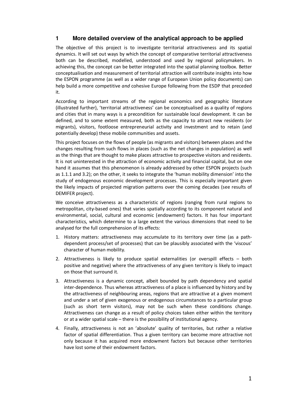# **1 More detailed overview of the analytical approach to be applied**

The objective of this project is to investigate territorial attractiveness and its spatial dynamics. It will set out ways by which the concept of comparative territorial attractiveness both can be described, modelled, understood and used by regional policymakers. In achieving this, the concept can be better integrated into the spatial planning toolbox. Better conceptualisation and measurement of territorial attraction will contribute insights into how the ESPON programme (as well as a wider range of European Union policy documents) can help build a more competitive *and* cohesive Europe following from the ESDP that preceded it.

According to important streams of the regional economics and geographic literature (illustrated further), 'territorial attractiveness' can be conceptualised as a quality of regions and cities that in many ways is a precondition for sustainable local development. It can be defined, and to some extent measured, both as the capacity to attract new residents (or migrants), visitors, footloose entrepreneurial activity and investment and to retain (and potentially develop) these mobile communities and assets.

This project focuses on the flows of people (as migrants and visitors) between places and the changes resulting from such flows in places (such as the net changes in population) as well as the things that are thought to make places attractive to prospective visitors and residents. It is not uninterested in the attraction of economic activity and financial capital, but on one hand it assumes that this phenomenon is already addressed by other ESPON projects (such as 1.1.1 and 3.2); on the other, it seeks to integrate the 'human mobility dimension' into the study of endogenous economic development processes. This is especially important given the likely impacts of projected migration patterns over the coming decades (see results of DEMIFER project).

We conceive attractiveness as a characteristic of regions (ranging from rural regions to metropolitan, city-based ones) that varies spatially according to its component natural and environmental, social, cultural and economic (endowment) factors. It has four important characteristics, which determine to a large extent the various dimensions that need to be analysed for the full comprehension of its effects:

- 1. History matters: attractiveness may accumulate to its territory over time (as a pathdependent process/set of processes) that can be plausibly associated with the 'viscous' character of human mobility.
- 2. Attractiveness is likely to produce spatial externalities (or overspill effects both positive and negative) where the attractiveness of any given territory is likely to impact on those that surround it.
- 3. Attractiveness is a dynamic concept, albeit bounded by path dependency and spatial inter-dependence. Thus whereas attractiveness of a place is influenced by history and by the attractiveness of neighbouring areas, regions that are attractive at a given moment and under a set of given exogenous or endogenous circumstances to a particular group (such as short term visitors), may not be such when these conditions change. Attractiveness can change as a result of policy choices taken either within the territory or at a wider spatial scale – there is the possibility of institutional agency.
- 4. Finally, attractiveness is not an 'absolute' quality of territories, but rather a relative factor of spatial differentiation. Thus a given territory can become more attractive not only because it has acquired more endowment factors but because other territories have lost some of their endowment factors.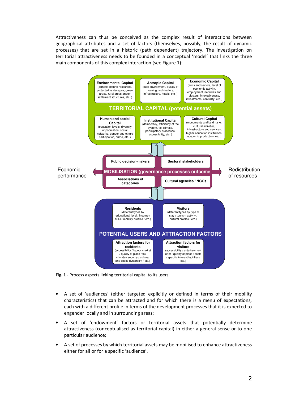Attractiveness can thus be conceived as the complex result of interactions between geographical attributes and a set of factors (themselves, possibly, the result of dynamic processes) that are set in a historic (path dependent) trajectory. The investigation on territorial attractiveness needs to be founded in a conceptual 'model' that links the three main components of this complex interaction (see Figure 1):



**Fig. 1** - Process aspects linking territorial capital to its users

- A set of 'audiences' (either targeted explicitly or defined in terms of their mobility characteristics) that can be attracted and for which there is a menu of expectations, each with a different profile in terms of the development processes that it is expected to engender locally and in surrounding areas;
- A set of 'endowment' factors or territorial assets that potentially determine attractiveness (conceptualised as territorial capital) in either a general sense or to one particular audience;
- A set of processes by which territorial assets may be mobilised to enhance attractiveness either for all or for a specific 'audience'.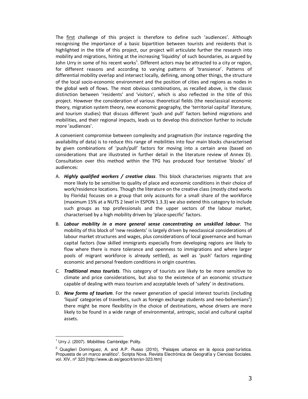The first challenge of this project is therefore to define such 'audiences'. Although recognising the importance of a basic bipartition between tourists and residents that is highlighted in the title of this project, our project will articulate further the research into mobility and migrations, hinting at the increasing 'liquidity' of such boundaries, as argued by John Urry in some of his recent works<sup>1</sup>. Different actors may be attracted to a city or region, for different reasons and according to varying patterns of 'transience'. Patterns of differential mobility overlap and intersect locally, defining, among other things, the structure of the local socio-economic environment and the position of cities and regions as nodes in the global web of flows. The most obvious combinations, as recalled above, is the classic distinction between 'residents' and 'visitors', which is also reflected in the title of this project. However the consideration of various theoretical fields (the neoclassical economic theory, migration system theory, new economic geography, the 'territorial capital' literature, and tourism studies) that discuss different 'push and pull' factors behind migrations and mobilities, and their regional impacts, leads us to develop this distinction further to include more 'audiences'.

A convenient compromise between complexity and pragmatism (for instance regarding the availability of data) is to reduce this range of mobilities into four main blocks characterised by given combinations of 'push/pull' factors for moving into a certain area (based on considerations that are illustrated in further detail in the literature review of Annex D). Consultation over this method within the TPG has produced four tentative 'blocks' of audiences:

- A. *Highly qualified workers / creative class*. This block characterises migrants that are more likely to be sensitive to quality of place and economic conditions in their choice of work/residence locations. Though the literature on the creative class (mostly cited works by Florida) focuses on a group that only accounts for a small share of the workforce (maximum 15% at a NUTS 2 level in ESPON 1.3.3) we also extend this category to include such groups as top professionals and the upper sectors of the labour market, characterised by a high mobility driven by 'place-specific' factors.
- B. *Labour mobility in a more general sense concentrating on unskilled labour*. The mobility of this block of 'new residents' is largely driven by neoclassical considerations of labour market structures and wages, plus considerations of local governance and human capital factors (low skilled immigrants especially from developing regions are likely to flow where there is more tolerance and openness to immigrations and where larger pools of migrant workforce is already settled), as well as 'push' factors regarding economic and personal freedom conditions in origin countries.
- C. *Traditional mass tourists*. This category of tourists are likely to be more sensitive to climate and price considerations, but also to the existence of an economic structure capable of dealing with mass tourism and acceptable levels of 'safety' in destinations.
- D. *New forms of tourism*. For the newer generation of special interest tourists (including 'liquid' categories of travellers, such as foreign exchange students and neo-bohemians<sup>2</sup>) there might be more flexibility in the choice of destinations, whose drivers are more likely to be found in a wide range of environmental, antropic, social and cultural capital assets.

<sup>1&</sup>lt;br><sup>1</sup> Urry J. (2007). Mobilities. Cambridge: Polity.

<sup>&</sup>lt;sup>2</sup> Quaglieri Domínguez, A. and A.P. Russo (2010), "Paisajes urbanos en la época post-turística. Propuesta de un marco analítico". Scripta Nova. Revista Electrónica de Geografía y Ciencias Sociales. vol. XIV, nº 323 [http://www.ub.es/geocrit/sn/sn-323.htm]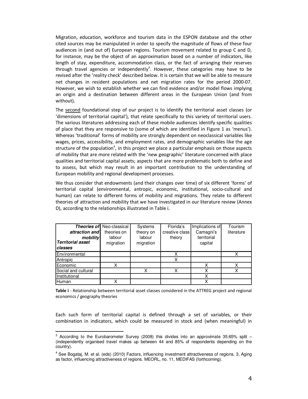Migration, education, workforce and tourism data in the ESPON database and the other cited sources may be manipulated in order to specify the magnitude of flows of these four audiences in (and out of) European regions. Tourism movement related to group C and D, for instance, may be the object of an approximation based on a number of indicators, like length of stay, expenditure, accommodation class, or the fact of arranging their reserves through travel agencies or independently<sup>3</sup>. However, these categories may have to be revised after the 'reality check' described below. It is certain that we will be able to measure net changes in resident populations and net migration rates for the period 2000-07. However, we wish to establish whether we can find evidence and/or model flows implying an origin and a destination between different areas in the European Union (and from without).

The second foundational step of our project is to identify the territorial asset classes (or 'dimensions of territorial capital'), that relate specifically to this variety of territorial users. The various literatures addressing each of these mobile audiences identify specific qualities of place that they are responsive to (some of which are identified in Figure 1 as 'menus'). Whereas 'traditional' forms of mobility are strongly dependent on neoclassical variables like wages, prices, accessibility, and employment rates, and demographic variables like the age structure of the population<sup>4</sup>, in this project we place a particular emphasis on those aspects of mobility that are more related with the 'new geographic' literature concerned with place qualities and territorial capital assets; aspects that are more problematic both to define and to assess, but which may result in an important contribution to the understanding of European mobility and regional development processes.

We thus consider that endowments (and their changes over time) of six different 'forms' of territorial capital (environmental, antropic, economic, institutional, socio-cultural and human) can relate to different forms of mobility and migrations. They relate to different theories of attraction and mobility that we have investigated in our literature review (Annex D), according to the relationships illustrated in Table i.

|                          | <b>Theories of Neo-classical</b> | Systems   | Florida's      | Implications of | Tourism    |
|--------------------------|----------------------------------|-----------|----------------|-----------------|------------|
| attraction and           | theories on                      | theory on | creative class | Camagni's       | literature |
| mobility                 | labour                           | labour    | theory         | territorial     |            |
| <b>Territorial asset</b> | migration                        | migration |                | capital         |            |
| <b>classes</b>           |                                  |           |                |                 |            |
| Environmental            |                                  |           | х              |                 |            |
| Antropic                 |                                  |           | х              |                 |            |
| Economic                 |                                  |           |                | x               |            |
| Social and cultural      |                                  | Χ         | х              | х               |            |
| Institutional            |                                  |           |                | X               |            |
| Human                    | x                                |           |                | x               |            |

**Table i** - Relationship between territorial asset classes considered in the ATTREG project and regional economics / geography theories

Each such form of territorial capital is defined through a set of variables, or their combination in indicators, which could be measured in stock and (when meaningful) in

 3 According to the Eurobarometer Survey (2008) this divides into an approximate 35:65% split – (independently organised travel makes up between 44 and 85% of respondents depending on the country).

<sup>&</sup>lt;sup>4</sup> See Bogataj, M. et al. (eds) (2010) Factors, influencing investment attractiveness of regions. 3, Aging as factor, influencing attractiveness of regions. MEORL, no. 11, MEDIFAS (forthcoming).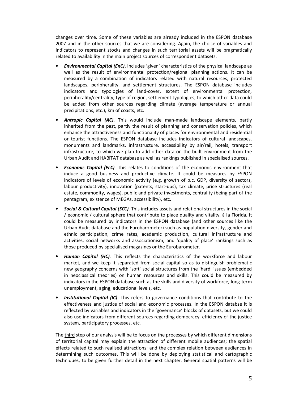changes over time. Some of these variables are already included in the ESPON database 2007 and in the other sources that we are considering. Again, the choice of variables and indicators to represent stocks and changes in such territorial assets will be pragmatically related to availability in the main project sources of correspondent datasets.

- *Environmental Capital (EnC)***.** Includes 'given' characteristics of the physical landscape as well as the result of environmental protection/regional planning actions. It can be measured by a combination of indicators related with natural resources, protected landscapes, peripherality, and settlement structures. The ESPON database includes indicators and typologies of land-cover, extent of environmental protection, peripherality/centrality, type of region, settlement typologies, to which other data could be added from other sources regarding climate (average temperature or annual precipitations, etc.), km of coasts, etc.
- *Antropic Capital (AC)*. This would include man-made landscape elements, partly inherited from the past, partly the result of planning and conservation policies, which enhance the attractiveness and functionality of places for environmental and residential or tourist functions. The ESPON database includes indicators of cultural landscapes, monuments and landmarks, infrastructure, accessibility by air/rail, hotels, transport infrastructure, to which we plan to add other data on the built environment from the Urban Audit and HABITAT database as well as rankings published in specialised sources.
- *Economic Capital (EcC)*. This relates to conditions of the economic environment that induce a good business and productive climate. It could be measures by ESPON indicators of levels of economic activity (e.g. growth of p.c. GDP, diversity of sectors, labour productivity), innovation (patents, start-ups), tax climate, price structures (real estate, commodity, wages), public and private investments, centrality (being part of the pentagram, existence of MEGAs, accessibility), etc.
- *Social & Cultural Capital (SCC)*. This includes assets and relational structures in the social / economic / cultural sphere that contribute to place quality and vitality, à la Florida. It could be measured by indicators in the ESPON database (and other sources like the Urban Audit database and the Eurobarometer) such as population diversity, gender and ethnic participation, crime rates, academic production, cultural infrastructure and activities, social networks and associationism, and 'quality of place' rankings such as those produced by specialised magazines or the Eurobarometer.
- *Human Capital (HC)*. This reflects the characteristics of the workforce and labour market, and we keep it separated from social capital so as to distinguish problematic new geography concerns with 'soft' social structures from the 'hard' issues (embedded in neoclassical theories) on human resources and skills. This could be measured by indicators in the ESPON database such as the skills and diversity of workforce, long-term unemployment, aging, educational levels, etc.
- *Institutional Capital (IC)*. This refers to governance conditions that contribute to the effectiveness and justice of social and economic processes. In the ESPON databse it is reflected by variables and indicators in the 'governance' blocks of datasets, but we could also use indicators from different sources regarding democracy, efficiency of the justice system, participatory processes, etc.

The third step of our analysis will be to focus on the processes by which different dimensions of territorial capital may explain the attraction of different mobile audiences; the spatial effects related to such realised attractions; and the complex relation between audiences in determining such outcomes. This will be done by deploying statistical and cartographic techniques, to be given further detail in the next chapter. General spatial patterns will be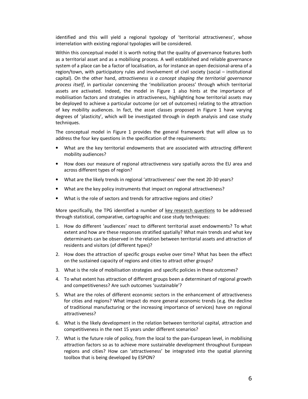identified and this will yield a regional typology of 'territorial attractiveness', whose interrelation with existing regional typologies will be considered.

Within this conceptual model it is worth noting that the quality of governance features both as a territorial asset and as a mobilising process. A well established and reliable governance system of a place can be a factor of localisation, as for instance an open decisional-arena of a region/town, with participatory rules and involvement of civil society (social – institutional capital). On the other hand, *attractiveness is a concept shaping the territorial governance process itself*, in particular concerning the 'mobilization process' through which territorial assets are activated. Indeed, the model in Figure 1 also hints at the importance of mobilisation factors and strategies in attractiveness, highlighting how territorial assets may be deployed to achieve a particular outcome (or set of outcomes) relating to the attraction of key mobility audiences. In fact, the asset classes proposed in Figure 1 have varying degrees of 'plasticity', which will be investigated through in depth analysis and case study techniques.

The conceptual model in Figure 1 provides the general framework that will allow us to address the four key questions in the specification of the requirements:

- What are the key territorial endowments that are associated with attracting different mobility audiences?
- How does our measure of regional attractiveness vary spatially across the EU area and across different types of region?
- What are the likely trends in regional 'attractiveness' over the next 20-30 years?
- What are the key policy instruments that impact on regional attractiveness?
- What is the role of sectors and trends for attractive regions and cities?

More specifically, the TPG identified a number of key research questions to be addressed through statistical, comparative, cartographic and case study techniques:

- 1. How do different 'audiences' react to different territorial asset endowments? To what extent and how are these responses stratified spatially? What main trends and what key determinants can be observed in the relation between territorial assets and attraction of residents and visitors (of different types)?
- 2. How does the attraction of specific groups evolve over time? What has been the effect on the sustained capacity of regions and cities to attract other groups?
- 3. What is the role of mobilisation strategies and specific policies in these outcomes?
- 4. To what extent has attraction of different groups been a determinant of regional growth and competitiveness? Are such outcomes 'sustainable'?
- 5. What are the roles of different economic sectors in the enhancement of attractiveness for cities and regions? What impact do more general economic trends (e.g. the decline of traditional manufacturing or the increasing importance of services) have on regional attractiveness?
- 6. What is the likely development in the relation between territorial capital, attraction and competitiveness in the next 15 years under different scenarios?
- 7. What is the future role of policy, from the local to the pan-European level, in mobilising attraction factors so as to achieve more sustainable development throughout European regions and cities? How can 'attractiveness' be integrated into the spatial planning toolbox that is being developed by ESPON?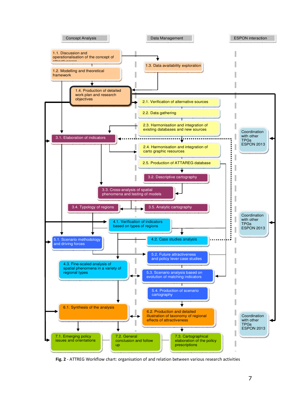

**Fig. 2** - ATTREG Workflow chart: organisation of and relation between various research activities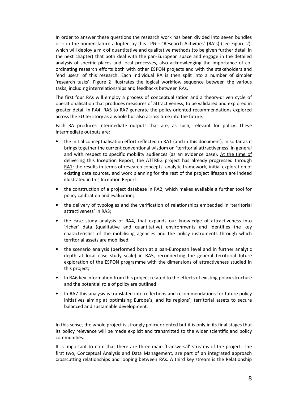In order to answer these questions the research work has been divided into seven bundles or – in the nomenclature adopted by this TPG – 'Research Activities' (RA's) (see Figure 2), which will deploy a mix of quantitative and qualitative methods (to be given further detail in the next chapter) that both deal with the pan-European space and engage in the detailed analysis of specific places and local processes, also acknowledging the importance of coordinating research efforts both with other ESPON projects and with the stakeholders and 'end users' of this research. Each individual RA is then split into a number of simpler 'research tasks'. Figure 2 illustrates the logical workflow sequence between the various tasks, including interrelationships and feedbacks between RAs.

The first four RAs will employ a process of conceptualisation and a theory-driven cycle of operationalisation that produces measures of attractiveness, to be validated and explored in greater detail in RA4. RA5 to RA7 generate the policy-oriented recommendations explored across the EU territory as a whole but also across time into the future.

Each RA produces intermediate outputs that are, as such, relevant for policy. These intermediate outputs are:

- the initial conceptualisation effort reflected in RA1 (and in this document), in so far as it brings together the current conventional wisdom on 'territorial attractiveness' in general and with respect to specific mobility audiences (as an evidence base). At the time of delivering this Inception Report, the ATTREG project has already progressed through RA1: the results in terms of research concepts, analytic framework, initial exploration of existing data sources, and work planning for the rest of the project lifespan are indeed illustrated in this Inception Report.
- the construction of a project database in RA2, which makes available a further tool for policy calibration and evaluation;
- the delivery of typologies and the verification of relationships embedded in 'territorial attractiveness' in RA3;
- the case study analysis of RA4, that expands our knowledge of attractiveness into 'richer' data (qualitative and quantitative) environments and identifies the key characteristics of the mobilising agencies and the policy instruments through which territorial assets are mobilised;
- the scenario analysis (performed both at a pan-European level and in further analytic depth at local case study scale) in RA5, reconnecting the general territorial future exploration of the ESPON programme with the dimensions of attractiveness studied in this project;
- In RA6 key information from this project related to the effects of existing policy structure and the potential role of policy are outlined
- In RA7 this analysis is translated into reflections and recommendations for future policy initiatives aiming at optimising Europe's, and its regions', territorial assets to secure balanced and sustainable development.

In this sense, the whole project is strongly policy-oriented but it is only in its final stages that its policy relevance will be made explicit and transmitted to the wider scientific and policy communities.

It is important to note that there are three main 'transversal' streams of the project. The first two, Conceptual Analysis and Data Management, are part of an integrated approach crosscutting relationships and looping between RAs. A third key stream is the Relationship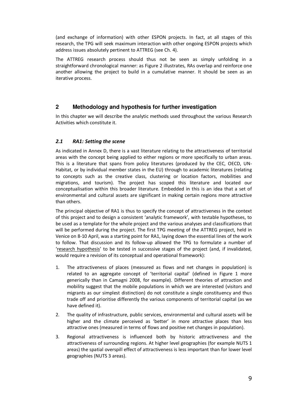(and exchange of information) with other ESPON projects. In fact, at all stages of this research, the TPG will seek maximum interaction with other ongoing ESPON projects which address issues absolutely pertinent to ATTREG (see Ch. 4).

The ATTREG research process should thus not be seen as simply unfolding in a straightforward chronological manner: as Figure 2 illustrates, RAs overlap and reinforce one another allowing the project to build in a cumulative manner. It should be seen as an iterative process.

# **2 Methodology and hypothesis for further investigation**

In this chapter we will describe the analytic methods used throughout the various Research Activities which constitute it.

# *2.1 RA1: Setting the scene*

As indicated in Annex D, there is a vast literature relating to the attractiveness of territorial areas with the concept being applied to either regions or more specifically to urban areas. This is a literature that spans from policy literatures (produced by the CEC, OECD, UN-Habitat, or by individual member states in the EU) through to academic literatures (relating to concepts such as the creative class, clustering or location factors, mobilities and migrations, and tourism). The project has scoped this literature and located our conceptualisation within this broader literature. Embedded in this is an idea that a set of environmental and cultural assets are significant in making certain regions more attractive than others.

The principal objective of RA1 is thus to specify the concept of attractiveness in the context of this project and to design a consistent 'analytic framework', with testable hypotheses, to be used as a template for the whole project and the various analyses and classifications that will be performed during the project. The first TPG meeting of the ATTREG project, held in Venice on 8-10 April, was a starting point for RA1, laying down the essential lines of the work to follow. That discussion and its follow-up allowed the TPG to formulate a number of 'research hypothesis' to be tested in successive stages of the project (and, if invalidated, would require a revision of its conceptual and operational framework):

- 1. The attractiveness of places (measured as flows and net changes in population) is related to an aggregate concept of 'territorial capital' (defined in Figure 1 more generically than in Camagni 2008, for example). Different theories of attraction and mobility suggest that the mobile populations in which we are interested (visitors and migrants as our simplest distinction) do not constitute a single constituency and thus trade off and prioritise differently the various components of territorial capital (as we have defined it).
- 2. The quality of infrastructure, public services, environmental and cultural assets will be higher and the climate perceived as 'better' in more attractive places than less attractive ones (measured in terms of flows and positive net changes in population).
- 3. Regional attractiveness is influenced both by historic attractiveness and the attractiveness of surrounding regions. At higher level geographies (for example NUTS 1 areas) the spatial overspill effect of attractiveness is less important than for lower level geographies (NUTS 3 areas).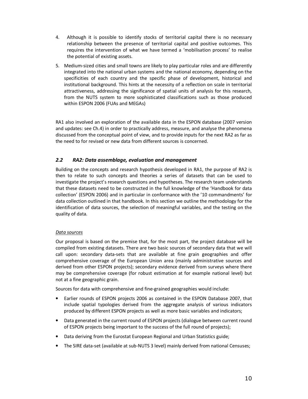- 4. Although it is possible to identify stocks of territorial capital there is no necessary relationship between the presence of territorial capital and positive outcomes. This requires the intervention of what we have termed a 'mobilisation process' to realise the potential of existing assets.
- 5. Medium-sized cities and small towns are likely to play particular roles and are differently integrated into the national urban systems and the national economy, depending on the specificities of each country and the specific phase of development, historical and institutional background. This hints at the necessity of a reflection on scale in territorial attractiveness, addressing the significance of spatial units of analysis for this research, from the NUTS system to more sophisticated classifications such as those produced within ESPON 2006 (FUAs and MEGAs)

RA1 also involved an exploration of the available data in the ESPON database (2007 version and updates: see Ch.4) in order to practically address, measure, and analyse the phenomena discussed from the conceptual point of view, and to provide inputs for the next RA2 as far as the need to for revised or new data from different sources is concerned.

# *2.2 RA2: Data assemblage, evaluation and management*

Building on the concepts and research hypothesis developed in RA1, the purpose of RA2 is then to relate to such concepts and theories a series of datasets that can be used to investigate the project's research questions and hypotheses. The research team understands that these datasets need to be constructed in the full knowledge of the 'Handbook for data collection' (ESPON 2006) and in particular in conformance with the '10 commandments' for data collection outlined in that handbook. In this section we outline the methodology for the identification of data sources, the selection of meaningful variables, and the testing on the quality of data.

#### *Data sources*

Our proposal is based on the premise that, for the most part, the project database will be compiled from existing datasets. There are two basic sources of secondary data that we will call upon: secondary data-sets that are available at fine grain geographies and offer comprehensive coverage of the European Union area (mainly administrative sources and derived from other ESPON projects); secondary evidence derived from surveys where there may be comprehensive coverage (for robust estimation at for example national level) but not at a fine geographic grain.

Sources for data with comprehensive and fine-grained geographies would include:

- Earlier rounds of ESPON projects 2006 as contained in the ESPON Database 2007, that include spatial typologies derived from the aggregate analysis of various indicators produced by different ESPON projects as well as more basic variables and indicators;
- Data generated in the current round of ESPON projects (dialogue between current round of ESPON projects being important to the success of the full round of projects);
- Data deriving from the Eurostat European Regional and Urban Statistics guide;
- The SIRE data-set (available at sub-NUTS 3 level) mainly derived from national Censuses;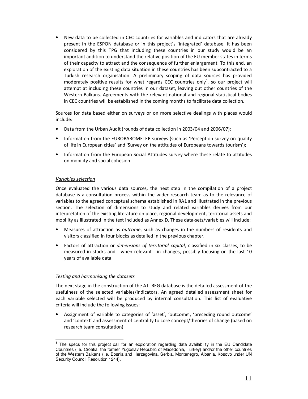• New data to be collected in CEC countries for variables and indicators that are already present in the ESPON database or in this project's 'integrated' database. It has been considered by this TPG that including these countries in our study would be an important addition to understand the relative position of the EU member states in terms of their capacity to attract and the consequence of further enlargement. To this end, an exploration of the existing data situation in these countries has been subcontracted to a Turkish research organisation. A preliminary scoping of data sources has provided moderately positive results for what regards CEC countries only<sup>5</sup>, so our project will attempt at including these countries in our dataset, leaving out other countries of the Western Balkans. Agreements with the relevant national and regional statistical bodies in CEC countries will be established in the coming months to facilitate data collection.

Sources for data based either on surveys or on more selective dealings with places would include:

- Data from the Urban Audit (rounds of data collection in 2003/04 and 2006/07);
- Information from the EUROBAROMETER surveys (such as 'Perception survey on quality of life in European cities' and 'Survey on the attitudes of Europeans towards tourism');
- Information from the European Social Attitudes survey where these relate to attitudes on mobility and social cohesion.

#### *Variables selection*

Once evaluated the various data sources, the next step in the compilation of a project database is a consultation process within the wider research team as to the relevance of variables to the agreed conceptual schema established in RA1 and illustrated in the previous section. The selection of dimensions to study and related variables derives from our interpretation of the existing literature on place, regional development, territorial assets and mobility as illustrated in the text included as Annex D. These data-sets/variables will include:

- Measures of attraction as *outcome*, such as changes in the numbers of residents and visitors classified in four blocks as detailed in the previous chapter.
- Factors of attraction or *dimensions of territorial capital*, classified in six classes, to be measured in stocks and - when relevant - in changes, possibly focusing on the last 10 years of available data.

#### *Testing and harmonising the datasets*

The next stage in the construction of the ATTREG database is the detailed assessment of the usefulness of the selected variables/indicators. An agreed detailed assessment sheet for each variable selected will be produced by internal consultation. This list of evaluative criteria will include the following issues:

• Assignment of variable to categories of 'asset', 'outcome', 'preceding round outcome' and 'context' and assessment of centrality to core concept/theories of change (based on research team consultation)

<sup>&</sup>lt;sup>5</sup> The specs for this project call for an exploration regarding data availability in the EU Candidate Countries (i.e. Croatia, the former Yugoslav Republic of Macedonia, Turkey) and/or the other countries of the Western Balkans (i.e. Bosnia and Herzegovina, Serbia, Montenegro, Albania, Kosovo under UN Security Council Resolution 1244).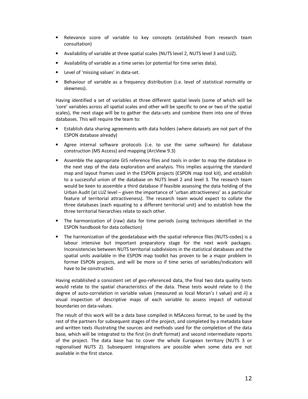- Relevance score of variable to key concepts (established from research team consultation)
- Availability of variable at three spatial scales (NUTS level 2, NUTS level 3 and LUZ).
- Availability of variable as a time series (or potential for time series data).
- Level of 'missing values' in data-set.
- Behaviour of variable as a frequency distribution (i.e. level of statistical normality or skewness).

Having identified a set of variables at three different spatial levels (some of which will be 'core' variables across all spatial scales and other will be specific to one or two of the spatial scales), the next stage will be to gather the data-sets and combine them into one of three databases. This will require the team to:

- Establish data sharing agreements with data holders (where datasets are not part of the ESPON database already)
- Agree internal software protocols (i.e. to use the same software) for database construction (MS Access) and mapping (ArcView 9.3)
- Assemble the appropriate GIS reference files and tools in order to map the database in the next step of the data exploration and analysis. This implies acquiring the standard map and layout frames used in the ESPON projects (ESPON map tool kit), and establish to a successful union of the database on NUTS level 2 and level 3. The research team would be keen to assemble a third database if feasible assessing the data holding of the Urban Audit (at LUZ level – given the importance of 'urban attractiveness' as a particular feature of territorial attractiveness). The research team would expect to collate the three databases (each equating to a different territorial unit) and to establish how the three territorial hierarchies relate to each other.
- The harmonization of (raw) data for time periods (using techniques identified in the ESPON handbook for data collection)
- The harmonization of the geodatabase with the spatial reference files (NUTS-codes) is a labour intensive but important preparatory stage for the next work packages. Inconsistencies between NUTS territorial subdivisions in the statistical databases and the spatial units available in the ESPON map toolkit has proven to be a major problem in former ESPON projects, and will be more so if time series of variables/indicators will have to be constructed.

Having established a consistent set of geo-referenced data, the final two data quality tests would relate to the spatial characteristics of the data. These tests would relate to *i*) the degree of auto-correlation in variable values (measured as local Moran's I value) and *ii*) a visual inspection of descriptive maps of each variable to assess impact of national boundaries on data-values.

The result of this work will be a data base compiled in MSAccess format, to be used by the rest of the partners for subsequent stages of the project, and completed by a metadata base and written texts illustrating the sources and methods used for the completion of the data base, which will be integrated to the first (in draft format) and second intermediate reports of the project. The data base has to cover the whole European territory (NUTS 3 or regionalised NUTS 2). Subsequent integrations are possible when some data are not available in the first stance.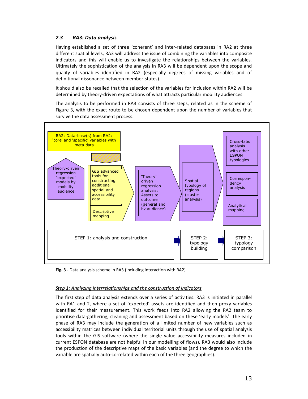# *2.3 RA3: Data analysis*

Having established a set of three 'coherent' and inter-related databases in RA2 at three different spatial levels, RA3 will address the issue of combining the variables into composite indicators and this will enable us to investigate the relationships between the variables. Ultimately the sophistication of the analysis in RA3 will be dependent upon the scope and quality of variables identified in RA2 (especially degrees of missing variables and of definitional dissonance between member-states).

It should also be recalled that the selection of the variables for inclusion within RA2 will be determined by theory-driven expectations of what attracts particular mobility audiences.

The analysis to be performed in RA3 consists of three steps, related as in the scheme of Figure 3, with the exact route to be chosen dependent upon the number of variables that survive the data assessment process.



**Fig. 3** - Data analysis scheme in RA3 (including interaction with RA2)

#### *Step 1: Analyzing interrelationships and the construction of indicators*

The first step of data analysis extends over a series of activities. RA3 is initiated in parallel with RA1 and 2, where a set of 'expected' assets are identified and then proxy variables identified for their measurement. This work feeds into RA2 allowing the RA2 team to prioritise data-gathering, cleaning and assessment based on these 'early models'. The early phase of RA3 may include the generation of a limited number of new variables such as accessibility matrices between individual territorial units through the use of spatial analysis tools within the GIS software (where the single value accessibility measures included in current ESPON database are not helpful in our modelling of flows). RA3 would also include the production of the descriptive maps of the basic variables (and the degree to which the variable are spatially auto-correlated within each of the three geographies).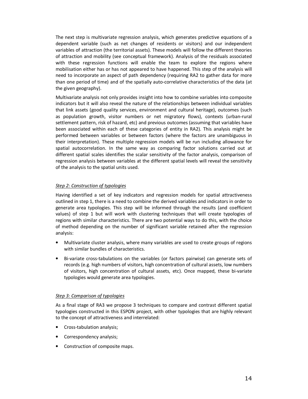The next step is multivariate regression analysis, which generates predictive equations of a dependent variable (such as net changes of residents or visitors) and our independent variables of attraction (the territorial assets). These models will follow the different theories of attraction and mobility (see conceptual framework). Analysis of the residuals associated with these regression functions will enable the team to explore the regions where mobilisation either has or has not appeared to have happened. This step of the analysis will need to incorporate an aspect of path dependency (requiring RA2 to gather data for more than one period of time) and of the spatially auto-correlative characteristics of the data (at the given geography).

Multivariate analysis not only provides insight into how to combine variables into composite indicators but it will also reveal the nature of the relationships between individual variables that link assets (good quality services, environment and cultural heritage), outcomes (such as population growth, visitor numbers or net migratory flows), contexts (urban-rural settlement pattern, risk of hazard, etc) and previous outcomes (assuming that variables have been associated within each of these categories of entity in RA2). This analysis might be performed between variables or between factors (where the factors are unambiguous in their interpretation). These multiple regression models will be run including allowance for spatial autocorrelation. In the same way as comparing factor solutions carried out at different spatial scales identifies the scalar sensitivity of the factor analysis, comparison of regression analysis between variables at the different spatial levels will reveal the sensitivity of the analysis to the spatial units used.

# *Step 2: Construction of typologies*

Having identified a set of key indicators and regression models for spatial attractiveness outlined in step 1, there is a need to combine the derived variables and indicators in order to generate area typologies. This step will be informed through the results (and coefficient values) of step 1 but will work with clustering techniques that will create typologies of regions with similar characteristics. There are two potential ways to do this, with the choice of method depending on the number of significant variable retained after the regression analysis:

- Multivariate cluster analysis, where many variables are used to create groups of regions with similar bundles of characteristics.
- Bi-variate cross-tabulations on the variables (or factors pairwise) can generate sets of records (e.g. high numbers of visitors, high concentration of cultural assets, low numbers of visitors, high concentration of cultural assets, etc). Once mapped, these bi-variate typologies would generate area typologies.

#### *Step 3: Comparison of typologies*

As a final stage of RA3 we propose 3 techniques to compare and contrast different spatial typologies constructed in this ESPON project, with other typologies that are highly relevant to the concept of attractiveness and interrelated:

- Cross-tabulation analysis;
- Correspondency analysis;
- Construction of composite maps.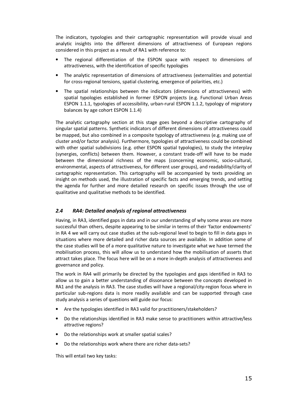The indicators, typologies and their cartographic representation will provide visual and analytic insights into the different dimensions of attractiveness of European regions considered in this project as a result of RA1 with reference to:

- The regional differentiation of the ESPON space with respect to dimensions of attractiveness, with the identification of specific typologies
- The analytic representation of dimensions of attractiveness (externalities and potential for cross-regional tensions, spatial clustering, emergence of polarities, etc.)
- The spatial relationships between the indicators (dimensions of attractiveness) with spatial typologies established in former ESPON projects (e.g. Functional Urban Areas ESPON 1.1.1, typologies of accessibility, urban-rural ESPON 1.1.2, typology of migratory balances by age cohort ESPON 1.1.4)

The analytic cartography section at this stage goes beyond a descriptive cartography of singular spatial patterns. Synthetic indicators of different dimensions of attractiveness could be mapped, but also combined in a composite typology of attractiveness (e.g. making use of cluster and/or factor analysis). Furthermore, typologies of attractiveness could be combined with other spatial subdivisions (e.g. other ESPON spatial typologies), to study the interplay (synergies, conflicts) between them. However, a constant trade-off will have to be made between the dimensional richness of the maps (concerning economic, socio-cultural, environmental, aspects of attractiveness, for different user groups), and readability/clarity of cartographic representation. This cartography will be accompanied by texts providing an insight on methods used, the illustration of specific facts and emerging trends, and setting the agenda for further and more detailed research on specific issues through the use of qualitative and qualitative methods to be identified.

# *2.4 RA4: Detailed analysis of regional attractiveness*

Having, in RA3, identified gaps in data and in our understanding of why some areas are more successful than others, despite appearing to be similar in terms of their 'factor endowments' in RA 4 we will carry out case studies at the sub-regional level to begin to fill in data gaps in situations where more detailed and richer data sources are available. In addition some of the case studies will be of a more qualitative nature to investigate what we have termed the mobilisation process, this will allow us to understand how the mobilisation of asserts that attract takes place. The focus here will be on a more in-depth analysis of attractiveness and governance and policy.

The work in RA4 will primarily be directed by the typologies and gaps identified in RA3 to allow us to gain a better understanding of dissonance between the concepts developed in RA1 and the analysis in RA3. The case studies will have a regional/city-region focus where in particular sub-regions data is more readily available and can be supported through case study analysis a series of questions will guide our focus:

- Are the typologies identified in RA3 valid for practitioners/stakeholders?
- Do the relationships identified in RA3 make sense to practitioners within attractive/less attractive regions?
- Do the relationships work at smaller spatial scales?
- Do the relationships work where there are richer data-sets?

This will entail two key tasks: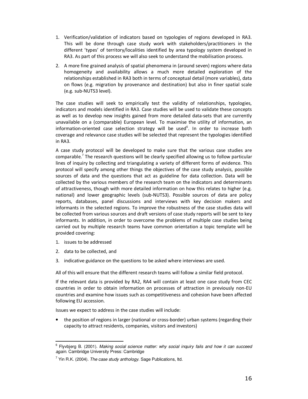- 1. Verification/validation of indicators based on typologies of regions developed in RA3. This will be done through case study work with stakeholders/practitioners in the different 'types' of territory/localities identified by area typology system developed in RA3. As part of this process we will also seek to understand the mobilisation process.
- 2. A more fine grained analysis of spatial phenomena in (around seven) regions where data homogeneity and availability allows a much more detailed exploration of the relationships established in RA3 both in terms of conceptual detail (more variables), data on flows (e.g. migration by provenance and destination) but also in finer spatial scale (e.g. sub-NUTS3 level).

The case studies will seek to empirically test the validity of relationships, typologies, indicators and models identified in RA3. Case studies will be used to validate these concepts as well as to develop new insights gained from more detailed data-sets that are currently unavailable on a (comparable) European level. To maximise the utility of information, an information-oriented case selection strategy will be used $6$ . In order to increase both coverage and relevance case studies will be selected that represent the typologies identified in RA3.

A case study protocol will be developed to make sure that the various case studies are comparable.<sup>7</sup> The research questions will be clearly specified allowing us to follow particular lines of inquiry by collecting and triangulating a variety of different forms of evidence. This protocol will specify among other things the objectives of the case study analysis, possible sources of data and the questions that act as guideline for data collection. Data will be collected by the various members of the research team on the indicators and determinants of attractiveness, though with more detailed information on how this relates to higher (e.g. national) and lower geographic levels (sub-NUTS3). Possible sources of data are policy reports, databases, panel discussions and interviews with key decision makers and informants in the selected regions. To improve the robustness of the case studies data will be collected from various sources and draft versions of case study reports will be sent to key informants. In addition, in order to overcome the problems of multiple case studies being carried out by multiple research teams have common orientation a topic template will be provided covering:

- 1. issues to be addressed
- 2. data to be collected, and
- 3. indicative guidance on the questions to be asked where interviews are used.

All of this will ensure that the different research teams will follow a similar field protocol.

If the relevant data is provided by RA2, RA4 will contain at least one case study from CEC countries in order to obtain information on processes of attraction in previously non-EU countries and examine how issues such as competitiveness and cohesion have been affected following EU accession.

Issues we expect to address in the case studies will include:

• the position of regions in larger (national or cross-border) urban systems (regarding their capacity to attract residents, companies, visitors and investors)

e<br>Flyvbjerg B. (2001). Making social science matter: why social inquiry fails and how it can succeed again. Cambridge University Press: Cambridge

 $^7$  Yin R.K. (2004). The case study anthology. Sage Publications, ltd.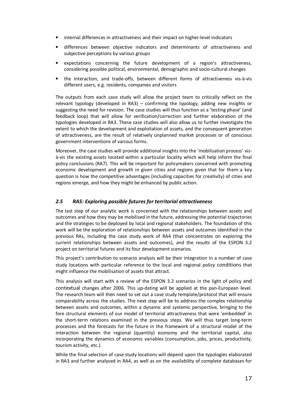- internal differences in attractiveness and their impact on higher-level indicators
- differences between objective indicators and determinants of attractiveness and subjective perceptions by various groups
- expectations concerning the future development of a region's attractiveness, considering possible political, environmental, demographic and socio-cultural changes
- the interaction, and trade-offs, between different forms of attractiveness vis-à-vis different users, e.g. residents, companies and visitors

The outputs from each case study will allow the project team to critically reflect on the relevant typology (developed in RA3) – confirming the typology, adding new insights or suggesting the need for revision. The case studies will thus function as a 'testing phase' (and feedback loop) that will allow for verification/correction and further elaboration of the typologies developed in RA3. These case studies will also allow us to further investigate the extent to which the development and exploitation of assets, and the consequent generation of attractiveness, are the result of relatively unplanned market processes or of conscious government interventions of various forms.

Moreover, the case studies will provide additional insights into the 'mobilisation process' visà-vis the existing assets located within a particular locality which will help inform the final policy conclusions (RA7). This will be important for policymakers concerned with promoting economic development and growth in given cities and regions given that for them a key question is how the competitive advantages (including capacities for creativity) of cities and regions emerge, and how they might be enhanced by public action.

# *2.5 RA5: Exploring possible futures for territorial attractiveness*

The last step of our analytic work is concerned with the relationships between assets and outcomes and how they may be mobilised in the future, addressing the potential trajectories and the strategies to be deployed by local and regional stakeholders. The foundation of this work will be the exploration of relationships between assets and outcomes identified in the previous RAs, including the case study work of RA4 (that concentrates on exploring the current relationships between assets and outcomes), and the results of the ESPON 3.2 project on territorial futures and its four development scenarios.

This project's contribution to scenario analysis will be their integration in a number of case study locations with particular reference to the local and regional policy conditions that might influence the mobilisation of assets that attract.

This analysis will start with a review of the ESPON 3.2 scenarios in the light of policy and contextual changes after 2006. This up-dating will be applied at the pan-European level. The research team will then need to set out a case study template/protocol that will ensure comparability across the studies. The next step will be to address the complex relationship between assets and outcomes, within a dynamic and systemic perspective, bringing to the fore structural elements of our model of territorial attractiveness that were 'embedded' in the short-term relations examined in the previous steps. We will thus target long-term processes and the forecasts for the future in the framework of a structural model of the interaction between the regional (quantity) economy and the territorial capital, also incorporating the dynamics of economic variables (consumption, jobs, prices, productivity, tourism activity, etc.).

While the final selection of case study locations will depend upon the typologies elaborated in RA3 and further analysed in RA4, as well as on the availability of complete databases for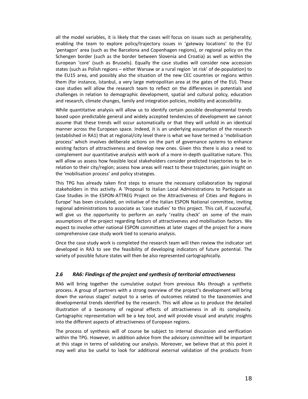all the model variables, it is likely that the cases will focus on issues such as peripherality, enabling the team to explore policy/trajectory issues in 'gateway locations' to the EU 'pentagon' area (such as the Barcelona and Copenhagen regions), or regional policy on the Schengen border (such as the border between Slovenia and Croatia) as well as within the European 'core' (such as Brussels). Equally the case studies will consider new accession states (such as Polish regions – either Warsaw or a rural region 'at risk' of de-population) to the EU15 area, and possibly also the situation of the new CEC countries or regions within them (for instance, Istanbul, a very large metropolitan area at the gates of the EU). These case studies will allow the research team to reflect on the differences in potentials and challenges in relation to demographic development, spatial and cultural policy, education and research, climate changes, family and integration policies, mobility and accessibility.

While quantitative analysis will allow us to identify certain possible developmental trends based upon predictable general and widely accepted tendencies of development we cannot assume that these trends will occur automatically or that they will unfold in an identical manner across the European space. Indeed, it is an underlying assumption of the research (established in RA1) that at regional/city level there is what we have termed a 'mobilisation process' which involves deliberate actions on the part of governance systems to enhance existing factors of attractiveness and develop new ones. Given this there is also a need to complement our quantitative analysis with work of a more in-depth qualitative nature. This will allow us assess how feasible local stakeholders consider predicted trajectories to be in relation to their city/region; assess how areas will react to these trajectories; gain insight on the 'mobilisation process' and policy strategies.

This TPG has already taken first steps to ensure the necessary collaboration by regional stakeholders in this activity. A 'Proposal to Italian Local Administrations to Participate as Case Studies in the ESPON-ATTREG Project on the Attractiveness of Cities and Regions in Europe' has been circulated, on initiative of the Italian ESPON National committee, inviting regional administrations to associate as 'case studies' to this project. This call, if successful, will give us the opportunity to perform an early 'reality check' on some of the main assumptions of the project regarding factors of attractiveness and mobilisation factors. We expect to involve other national ESPON committees at later stages of the project for a more comprehensive case study work tied to scenario analysis.

Once the case study work is completed the research team will then review the indicator set developed in RA3 to see the feasibility of developing indicators of future potential. The variety of possible future states will then be also represented cartographically.

### *2.6 RA6: Findings of the project and synthesis of territorial attractiveness*

RA6 will bring together the cumulative output from previous RAs through a synthetic process. A group of partners with a strong overview of the project's development will bring down the various stages' output to a series of outcomes related to the taxonomies and developmental trends identified by the research. This will allow us to produce the detailed illustration of a taxonomy of regional effects of attractiveness in all its complexity. Cartographic representation will be a key tool, and will provide visual and analytic insights into the different aspects of attractiveness of European regions.

The process of synthesis will of course be subject to internal discussion and verification within the TPG. However, in addition advice from the advisory committee will be important at this stage in terms of validating our analysis. Moreover, we believe that at this point it may well also be useful to look for additional external validation of the products from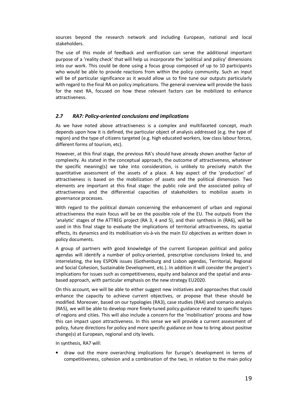sources beyond the research network and including European, national and local stakeholders.

The use of this mode of feedback and verification can serve the additional important purpose of a 'reality check' that will help us incorporate the 'political and policy' dimensions into our work. This could be done using a focus group composed of up to 10 participants who would be able to provide reactions from within the policy community. Such an input will be of particular significance as it would allow us to fine tune our outputs particularly with regard to the final RA on policy implications. The general overview will provide the basis for the next RA, focused on how these relevant factors can be mobilized to enhance attractiveness.

# *2.7 RA7: Policy-oriented conclusions and implications*

As we have noted above attractiveness is a complex and multifaceted concept, much depends upon how it is defined, the particular object of analysis addressed (e.g. the type of region) and the type of citizens targeted (e.g. high educated workers, low class labour forces, different forms of tourism, etc).

However, at this final stage, the previous RA's should have already shown another factor of complexity. As stated in the conceptual approach, the outcome of attractiveness, whatever the specific meaning(s) we take into consideration, is unlikely to precisely match the quantitative assessment of the assets of a place. A key aspect of the 'production' of attractiveness is based on the mobilization of assets and the political dimension. Two elements are important at this final stage: the public role and the associated policy of attractiveness and the differential capacities of stakeholders to mobilize assets in governance processes.

With regard to the political domain concerning the enhancement of urban and regional attractiveness the main focus will be on the possible role of the EU. The outputs from the 'analytic' stages of the ATTREG project (RA 3, 4 and 5), and their synthesis in (RA6), will be used in this final stage to evaluate the implications of territorial attractiveness, its spatial effects, its dynamics and its mobilisation vis-à-vis the main EU objectives as written down in policy documents.

A group of partners with good knowledge of the current European political and policy agendas will identify a number of policy-oriented, prescriptive conclusions linked to, and interrelating, the key ESPON issues (Gothenburg and Lisbon agendas, Territorial, Regional and Social Cohesion, Sustainable Development, etc.). In addition it will consider the project's implications for issues such as competitiveness, equity and balance and the spatial and areabased approach, with particular emphasis on the new strategy EU2020.

On this account, we will be able to either suggest new initiatives and approaches that could enhance the capacity to achieve current objectives, or propose that these should be modified. Moreover, based on our typologies (RA3), case studies (RA4) and scenario analysis (RA5), we will be able to develop more finely-tuned policy guidance related to specific types of regions and cities. This will also include a concern for the 'mobilisation' process and how this can impact upon attractiveness. In this sense we will provide a current assessment of policy, future directions for policy and more specific guidance on how to bring about positive change(s) at European, regional and city levels.

In synthesis, RA7 will:

• draw out the more overarching implications for Europe's development in terms of competitiveness, cohesion and a combination of the two, in relation to the main policy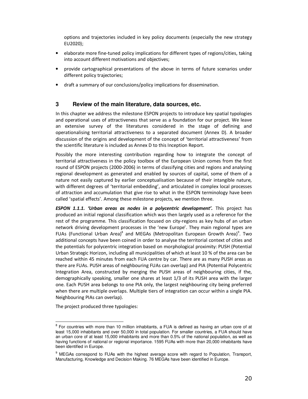options and trajectories included in key policy documents (especially the new strategy EU2020);

- elaborate more fine-tuned policy implications for different types of regions/cities, taking into account different motivations and objectives;
- provide cartographical presentations of the above in terms of future scenarios under different policy trajectories;
- draft a summary of our conclusions/policy implications for dissemination.

# **3 Review of the main literature, data sources, etc.**

In this chapter we address the milestone ESPON projects to introduce key spatial typologies and operational uses of attractiveness that serve as a foundation for our project. We leave an extensive survey of the literatures considered in the stage of defining and operationalising territorial attractiveness to a separated document (Annex D). A broader discussion of the origins and development of the concept of 'territorial attractiveness' from the scientific literature is included as Annex D to this Inception Report.

Possibly the more interesting contribution regarding how to integrate the concept of territorial attractiveness in the policy toolbox of the European Union comes from the first round of ESPON projects (2000-2006) in terms of classifying cities and regions and analysing regional development as generated and enabled by sources of capital, some of them of a nature not easily captured by earlier conceptualisation because of their intangible nature, with different degrees of 'territorial embedding', and articulated in complex local processes of attraction and accumulation that give rise to what in the ESPON terminology have been called 'spatial effects'. Among these milestone projects, we mention three.

*ESPON 1.1.1. 'Urban areas as nodes in a polycentric development'.* This project has produced an initial regional classification which was then largely used as a reference for the rest of the programme. This classification focused on city-regions as key hubs of an urban network driving development processes in the 'new Europe'. They main regional types are FUAs (Functional Urban Area)<sup>8</sup> and MEGAs (Metropolitan European Growth Area)<sup>9</sup>. Two additional concepts have been coined in order to analyse the territorial context of cities and the potentials for polycentric integration based on morphological proximity: PUSH (Potential Urban Strategic Horizon, including all municipalities of which at least 10 % of the area can be reached within 45 minutes from each FUA centre by car. There are as many PUSH areas as there are FUAs. PUSH areas of neighbouring FUAs can overlap) and PIA (Potential Polycentric Integration Area, constructed by merging the PUSH areas of neighbouring cities, if the, demographically speaking, smaller one shares at least 1/3 of its PUSH area with the larger one. Each PUSH area belongs to one PIA only, the largest neighbouring city being preferred when there are multiple overlaps. Multiple tiers of integration can occur within a single PIA. Neighbouring PIAs can overlap).

The project produced three typologies:

e<br>B For countries with more than 10 million inhabitants, a FUA is defined as having an urban core of at least 15,000 inhabitants and over 50,000 in total population. For smaller countries, a FUA should have an urban core of at least 15,000 inhabitants and more than 0.5% of the national population, as well as having functions of national or regional importance. 1595 FUAs with more than 20,000 inhabitants have been identified in Europe.

<sup>&</sup>lt;sup>9</sup> MEGAs correspond to FUAs with the highest average score with regard to Population, Transport, Manufacturing, Knowledge and Decision Making. 76 MEGAs have been identified in Europe.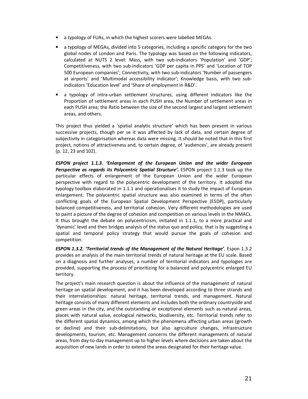- a typology of FUAs, in which the highest scorers were labelled MEGAs.
- a typology of MEGAs, divided into 5 categories, including a specific category for the two global nodes of London and Paris. The typology was based on the following indicators, calculated at NUTS 2 level: Mass, with two sub-indicators 'Population' and 'GDP'; Competitiveness, with two sub-indicators 'GDP per capita in PPS' and 'Location of TOP 500 European companies'; Connectivity, with two sub-indicators 'Number of passengers at airports' and 'Multimodal accessibility indicator'; Knowledge basis, with two subindicators 'Education level' and 'Share of employment in R&D'.
- a typology of intra-urban settlement structures, using different indicators like the Proportion of settlement areas in each PUSH area, the Number of settlement areas in each PUSH area; the Ratio between the size of the second largest and largest settlement areas, and others.

This project thus yielded a 'spatial analytic structure' which has been present in various successive projects, though per se it was affected by lack of data, and certain degree of subjectivity in categorisation whereas data were missing. It should be noted that in this first project, notions of attractiveness and, to certain degree, of 'audiences', are already present (p. 12, 23 and 102).

*ESPON project 1.1.3. 'Enlargement of the European Union and the wider European Perspective as regards its Polycentric Spatial Structure'***.** ESPON project 1.1.3 took up the particular effects of enlargement of the European Union and the wider European perspective with regard to the polycentric development of the territory. It adopted the typology toolbox elaborated in 1.1.1 and operationalises it to study the impact of European enlargement. The polycentric spatial structure was also examined in terms of the often conflicting goals of the European Spatial Development Perspective (ESDP), particularly balanced competitiveness, and territorial cohesion. Very different methodologies are used to paint a picture of the degree of cohesion and competition on various levels in the NMACs. It thus brought the debate on polycentricism, initiated in 1.1.1, to a more practical and 'dynamic' level and then bridges analysis of the status quo and policy, that is by suggesting a spatial and temporal policy strategy that would pursue the goals of cohesion and competition.

*ESPON 1.3.2. 'Territorial trends of the Management of the Natural Heritage'*. Espon 1.3.2 provides an analysis of the main territorial trends of natural heritage at the EU scale. Based on a diagnosis and further analyses, a number of territorial indicators and typologies are provided, supporting the process of prioritizing for a balanced and polycentric enlarged EU territory.

The project's main research question is about the influence of the management of natural heritage on spatial development, and it has been developed according to three strands and their interrelationships: natural heritage, territorial trends, and management. Natural heritage consists of many different elements and includes both the ordinary countryside and green areas in the city, and the outstanding or exceptional elements such as natural areas, places with natural value, ecological networks, biodiversity, etc. Territorial trends refer to the different spatial dynamics, among which the phenomena affecting urban areas (growth or decline) and their sub-delimitations, but also agriculture changes, infrastructure developments, tourism, etc. Management concerns the different managements of natural areas, from day-to-day management up to higher levels where decisions are taken about the acquisition of new lands in order to extend the areas designated for their heritage value.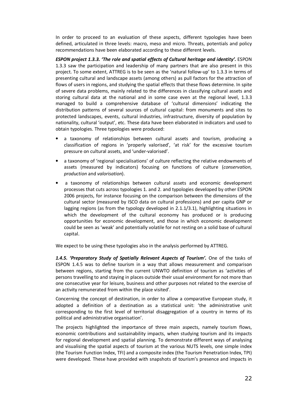In order to proceed to an evaluation of these aspects, different typologies have been defined, articulated in three levels: macro, meso and micro. Threats, potentials and policy recommendations have been elaborated according to these different levels.

*ESPON project 1.3.3. 'The role and spatial effects of Cultural heritage and identity'.* ESPON 1.3.3 saw the participation and leadership of many partners that are also present in this project. To some extent, ATTREG is to be seen as the 'natural follow-up' to 1.3.3 in terms of presenting cultural and landscape assets (among others) as pull factors for the attraction of flows of users in regions, and studying the spatial effects that these flows determine. In spite of severe data problems, mainly related to the differences in classifying cultural assets and storing cultural data at the national and in some case even at the regional level, 1.3.3 managed to build a comprehensive database of 'cultural dimensions' indicating the distribution patterns of several sources of cultural capital: from monuments and sites to protected landscapes, events, cultural industries, infrastructure, diversity of population by nationality, cultural 'output', etc. These data have been elaborated in indicators and used to obtain typologies. Three typologies were produced:

- a taxonomy of relationships between cultural assets and tourism, producing a classification of regions in 'properly valorised', 'at risk' for the excessive tourism pressure on cultural assets, and 'under-valorised'.
- a taxonomy of 'regional specialisations' of culture reflecting the relative endowments of assets (measured by indicators) focusing on functions of culture (*conservation*, *production* and *valorisation*).
- a taxonomy of relationships between cultural assets and economic development processes that cuts across typologies 1. and 2. and typologies developed by other ESPON 2006 projects, for instance focusing on the comparison between the dimensions of the cultural sector (measured by ISCO data on cultural professions) and per capita GNP or lagging regions (as from the typology developed in 2.1.1/3.1), highlighting situations in which the development of the cultural economy has produced or is producing opportunities for economic development, and those in which economic development could be seen as 'weak' and potentially volatile for not resting on a solid base of cultural capital.

We expect to be using these typologies also in the analysis performed by ATTREG.

1.4.5. 'Preparatory Study of Spatially Relevant Aspects of Tourism'. One of the tasks of ESPON 1.4.5 was to define tourism in a way that allows measurement and comparison between regions, starting from the current UNWTO definition of tourism as 'activities of persons travelling to and staying in places outside their usual environment for not more than one consecutive year for leisure, business and other purposes not related to the exercise of an activity remunerated from within the place visited'.

Concerning the concept of destination, in order to allow a comparative European study, it adopted a definition of a destination as a statistical unit: 'the administrative unit corresponding to the first level of territorial disaggregation of a country in terms of its political and administrative organisation'.

The projects highlighted the importance of three main aspects, namely tourism flows, economic contributions and sustainability impacts, when studying tourism and its impacts for regional development and spatial planning. To demonstrate different ways of analysing and visualising the spatial aspects of tourism at the various NUTS levels, one simple index (the Tourism Function Index, TFI) and a composite index (the Tourism Penetration Index, TPI) were developed. These have provided with snapshots of tourism's presence and impacts in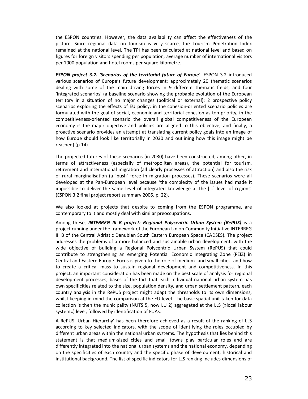the ESPON countries. However, the data availability can affect the effectiveness of the picture. Since regional data on tourism is very scarce, the Tourism Penetration Index remained at the national level. The TPI has been calculated at national level and based on figures for foreign visitors spending per population, average number of international visitors per 1000 population and hotel rooms per square kilometre.

*ESPON project 3.2. 'Scenarios of the territorial future of Europe'*. ESPON 3.2 introduced various scenarios of Europe's future development: approximately 20 thematic scenarios dealing with some of the main driving forces in 9 different thematic fields, and four 'integrated scenarios' (a baseline scenario showing the probable evolution of the European territory in a situation of no major changes (political or external); 2 prospective policy scenarios exploring the effects of EU policy: in the cohesion-oriented scenario policies are formulated with the goal of social, economic and territorial cohesion as top priority, in the competitiveness-oriented scenario the overall global competitiveness of the European economy is the major objective and policies are aligned to this objective; and finally, a proactive scenario provides an attempt at translating current policy goals into an image of how Europe should look like territorially in 2030 and outlining how this image might be reached) (p.14).

The projected futures of these scenarios (in 2030) have been constructed, among other, in terms of attractiveness (especially of metropolitan areas), the potential for tourism, retirement and international migration (all clearly processes of attraction) and also the risk of rural marginalisation (a 'push' force in migration processes). These scenarios were all developed at the Pan-European level because 'the complexity of the issues had made it impossible to deliver the same level of integrated knowledge at the […] level of regions' (ESPON 3.2 final project report summary 2006, p. 22).

We also looked at projects that despite to coming from the ESPON programme, are contemporary to it and mostly deal with similar preoccupations.

Among these, *INTERREG III B project: Regional Polycentric Urban System (RePUS)* is a project running under the framework of the European Union Community Initiative INTERREG III B of the Central Adriatic Danubian South Eastern European Space (CADSES). The project addresses the problems of a more balanced and sustainable urban development, with the wide objective of building a Regional Polycentric Urban System (RePUS) that could contribute to strengthening an emerging Potential Economic Integrating Zone (PEIZ) in Central and Eastern Europe. Focus is given to the role of medium- and small cities, and how to create a critical mass to sustain regional development and competitiveness. In this project, an important consideration has been made on the best scale of analysis for regional development processes; bases of the fact that each individual national urban system has own specificities related to the size, population density, and urban settlement pattern, each country analysis in the RePUS project might adapt the thresholds to its own dimensions, whilst keeping in mind the comparison at the EU level. The basic spatial unit taken for data collection is then the municipality (NUTS 5, now LU 2) aggregated at the LLS (»local labour system«) level, followed by identification of FUAs.

A RePUS 'Urban Hierarchy' has been therefore achieved as a result of the ranking of LLS according to key selected indicators, with the scope of identifying the roles occupied by different urban areas within the national urban systems. The hypothesis that lies behind this statement is that medium-sized cities and small towns play particular roles and are differently integrated into the national urban systems and the national economy, depending on the specificities of each country and the specific phase of development, historical and institutional background. The list of specific indicators for LLS ranking includes dimensions of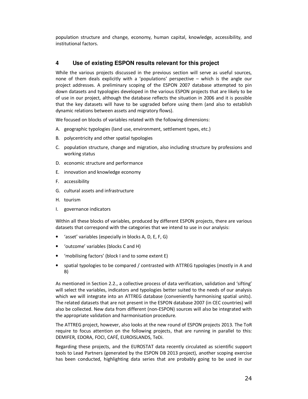population structure and change, economy, human capital, knowledge, accessibility, and institutional factors.

# **4 Use of existing ESPON results relevant for this project**

While the various projects discussed in the previous section will serve as useful sources, none of them deals explicitly with a 'populations' perspective – which is the angle our project addresses. A preliminary scoping of the ESPON 2007 database attempted to pin down datasets and typologies developed in the various ESPON projects that are likely to be of use in our project, although the database reflects the situation in 2006 and it is possible that the key datasets will have to be upgraded before using them (and also to establish dynamic relations between assets and migratory flows).

We focused on blocks of variables related with the following dimensions:

- A. geographic typologies (land use, environment, settlement types, etc.)
- B. polycentricity and other spatial typologies
- C. population structure, change and migration, also including structure by professions and working status
- D. economic structure and performance
- E. innovation and knowledge economy
- F. accessibility
- G. cultural assets and infrastructure
- H. tourism
- I. governance indicators

Within all these blocks of variables, produced by different ESPON projects, there are various datasets that correspond with the categories that we intend to use in our analysis:

- 'asset' variables (especially in blocks A, D, E, F, G)
- 'outcome' variables (blocks C and H)
- 'mobilising factors' (block I and to some extent E)
- spatial typologies to be compared / contrasted with ATTREG typologies (mostly in A and B)

As mentioned in Section 2.2., a collective process of data verification, validation and 'sifting' will select the variables, indicators and typologies better suited to the needs of our analysis which we will integrate into an ATTREG database (conveniently harmonising spatial units). The related datasets that are not present in the ESPON database 2007 (in CEC countries) will also be collected. New data from different (non-ESPON) sources will also be integrated with the appropriate validation and harmonisation procedure.

The ATTREG project, however, also looks at the new round of ESPON projects 2013. The ToR require to focus attention on the following projects, that are running in parallel to this: DEMIFER, EDORA, FOCI, CAFÉ, EUROISLANDS, TeDi.

Regarding these projects, and the EUROSTAT data recently circulated as scientific support tools to Lead Partners (generated by the ESPON DB 2013 project), another scoping exercise has been conducted, highlighting data series that are probably going to be used in our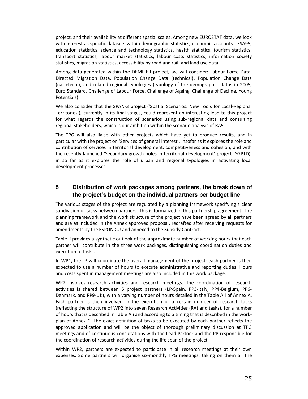project, and their availability at different spatial scales. Among new EUROSTAT data, we look with interest as specific datasets within demographic statistics, economic accounts - ESA95, education statistics, science and technology statistics, health statistics, tourism statistics, transport statistics, labour market statistics, labour costs statistics, information society statistics, migration statistics, accessibility by road and rail, and land use data

Among data generated within the DEMIFER project, we will consider: Labour Force Data, Directed Migration Data, Population Change Data (technical), Population Change Data (nat.+tech.), and related regional typologies (typology of the demographic status in 2005, Euro Standard, Challenge of Labour Force, Challenge of Ageing, Challenge of Decline, Young Potentials).

We also consider that the SPAN-3 project ('Spatial Scenarios: New Tools for Local-Regional Territories'), currently in its final stages, could represent an interesting lead to this project for what regards the construction of scenarios using sub-regional data and consulting regional stakeholders, which is our ambition within the scenario analysis of RA5.

The TPG will also liaise with other projects which have yet to produce results, and in particular with the project on 'Services of general interest', insofar as it explores the role and contribution of services in territorial development, competitiveness and cohesion; and with the recently launched 'Secondary growth poles in territorial development' project (SGPTD), in so far as it explores the role of urban and regional typologies in activating local development processes.

# **5 Distribution of work packages among partners, the break down of the project's budget on the individual partners per budget line**

The various stages of the project are regulated by a planning framework specifying a clear subdivision of tasks between partners. This is formalized in this partnership agreement. The planning framework and the work structure of the project have been agreed by all partners and are as included in the Annex approved proposal, redrafted after receiving requests for amendments by the ESPON CU and annexed to the Subsidy Contract.

Table ii provides a synthetic outlook of the approximate number of working hours that each partner will contribute in the three work packages, distinguishing coordination duties and execution of tasks.

In WP1, the LP will coordinate the overall management of the project; each partner is then expected to use a number of hours to execute administrative and reporting duties. Hours and costs spent in management meetings are also included in this work package.

WP2 involves research activities and research meetings. The coordination of research activities is shared between 5 project partners (LP-Spain, PP3-Italy, PP4-Belgium, PP6- Denmark, and PP9-UK), with a varying number of hours detailed in the Table A.i of Annex A. Each partner is then involved in the execution of a certain number of research tasks (reflecting the structure of WP2 into seven Research Activities (RA) and tasks), for a number of hours that is described in Table A.i and according to a timing that is described in the workplan of Annex C. The exact definition of tasks to be executed by each partner reflects the approved application and will be the object of thorough preliminary discussion at TPG meetings and of continuous consultations with the Lead Partner and the PP responsible for the coordination of research activities during the life span of the project.

Within WP2, partners are expected to participate in all research meetings at their own expenses. Some partners will organise six-monthly TPG meetings, taking on them all the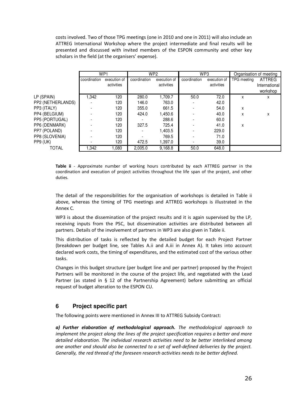costs involved. Two of those TPG meetings (one in 2010 and one in 2011) will also include an ATTREG International Workshop where the project intermediate and final results will be presented and discussed with invited members of the ESPON community and other key scholars in the field (at the organisers' expense).

|                   | WP <sub>1</sub> |              | WP <sub>2</sub> |              | WP <sub>3</sub> |              | Organisation of meeting |               |  |
|-------------------|-----------------|--------------|-----------------|--------------|-----------------|--------------|-------------------------|---------------|--|
|                   | coordination    | execution of | coordination    | execution of | coordination    | execution of | TPG meeting             | <b>ATTREG</b> |  |
|                   |                 | activities   |                 | activities   |                 | activities   |                         | International |  |
|                   |                 |              |                 |              |                 |              |                         | workshop      |  |
| LP (SPAIN)        | .342            | 120          | 280.0           | 1,709.7      | 50.0            | 72.0         | X                       | х             |  |
| PP2 (NETHERLANDS) |                 | 120          | 146.0           | 763.0        |                 | 42.0         |                         |               |  |
| PP3 (ITALY)       |                 | 120          | 355.0           | 661.5        |                 | 54.0         | x                       |               |  |
| PP4 (BELGIUM)     |                 | 120          | 424.0           | 1,450.6      |                 | 40.0         | X                       | x             |  |
| PP5 (PORTUGAL)    |                 | 120          |                 | 288.6        |                 | 60.0         |                         |               |  |
| PP6 (DENMARK)     |                 | 120          | 327.5           | 725.4        |                 | 41.0         | x                       |               |  |
| PP7 (POLAND)      |                 | 120          |                 | 1,403.5      |                 | 229.0        |                         |               |  |
| PP8 (SLOVENIA)    |                 | 120          |                 | 769.5        |                 | 71.0         |                         |               |  |
| PP9 (UK)          |                 | 120          | 472.5           | 1,397.0      |                 | 39.0         |                         |               |  |
| TOTAL             | .342            | 080.         | 2.005.0         | 9.168.8      | 50.0            | 648.0        |                         |               |  |

**Table ii** - Approximate number of working hours contributed by each ATTREG partner in the coordination and execution of project activities throughout the life span of the project, and other duties.

The detail of the responsibilities for the organisation of workshops is detailed in Table ii above, whereas the timing of TPG meetings and ATTREG workshops is illustrated in the Annex C.

WP3 is about the dissemination of the project results and it is again supervised by the LP, receiving inputs from the PSC, but dissemination activities are distributed between all partners. Details of the involvement of partners in WP3 are also given in Table ii.

This distribution of tasks is reflected by the detailed budget for each Project Partner (breakdown per budget line, see Tables A.ii and A.iii in Annex A). It takes into account declared work costs, the timing of expenditures, and the estimated cost of the various other tasks.

Changes in this budget structure (per budget line and per partner) proposed by the Project Partners will be monitored in the course of the project life, and negotiated with the Lead Partner (as stated in § 12 of the Partnership Agreement) before submitting an official request of budget alteration to the ESPON CU.

# **6 Project specific part**

The following points were mentioned in Annex III to ATTREG Subsidy Contract:

*a) Further elaboration of methodological approach. The methodological approach to implement the project along the lines of the project specification requires a better and more detailed elaboration. The individual research activities need to be better interlinked among one another and should also be connected to a set of well-defined deliveries by the project. Generally, the red thread of the foreseen research activities needs to be better defined.*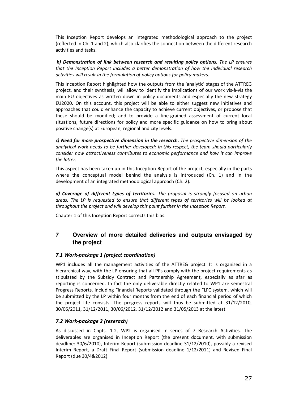This Inception Report develops an integrated methodological approach to the project (reflected in Ch. 1 and 2), which also clarifies the connection between the different research activities and tasks.

*b) Demonstration of link between research and resulting policy options. The LP ensures that the Inception Report includes a better demonstration of how the individual research activities will result in the formulation of policy options for policy makers.*

This Inception Report highlighted how the outputs from the 'analytic' stages of the ATTREG project, and their synthesis, will allow to identify the implications of our work vis-à-vis the main EU objectives as written down in policy documents and especially the new strategy EU2020. On this account, this project will be able to either suggest new initiatives and approaches that could enhance the capacity to achieve current objectives, or propose that these should be modified; and to provide a fine-grained assessment of current local situations, future directions for policy and more specific guidance on how to bring about positive change(s) at European, regional and city levels.

*c) Need for more prospective dimension in the research. The prospective dimension of the analytical work needs to be further developed; in this respect, the team should particularly consider how attractiveness contributes to economic performance and how it can improve the latter.* 

This aspect has been taken up in this Inception Report of the project, especially in the parts where the conceptual model behind the analysis is introduced (Ch. 1) and in the development of an integrated methodological approach (Ch. 2).

*d) Coverage of different types of territories. The proposal is strongly focused on urban areas. The LP is requested to ensure that different types of territories will be looked at throughout the project and will develop this point further in the Inception Report.* 

Chapter 1 of this Inception Report corrects this bias.

# **7 Overview of more detailed deliveries and outputs envisaged by the project**

# *7.1 Work-package 1 (project coordination)*

WP1 includes all the management activities of the ATTREG project. It is organised in a hierarchical way, with the LP ensuring that all PPs comply with the project requirements as stipulated by the Subsidy Contract and Partnership Agreement, especially as afar as reporting is concerned. In fact the only deliverable directly related to WP1 are semestral Progress Reports, including Financial Reports validated through the FLFC system, which will be submitted by the LP within four months from the end of each financial period of which the project life consists. The progress reports will thus be submitted at 31/12/2010, 30/06/2011, 31/12/2011, 30/06/2012, 31/12/2012 and 31/05/2013 at the latest.

# *7.2 Work-package 2 (reserach)*

As discussed in Chpts. 1-2, WP2 is organised in series of 7 Research Activities. The deliverables are organised in Inception Report (the present document, with submission deadline: 30/6/2010), Interim Report (submission deadline 31/12/2010), possibly a revised Interim Report, a Draft Final Report (submission deadline 1/12/2011) and Revised Final Report (due 30/4&2012).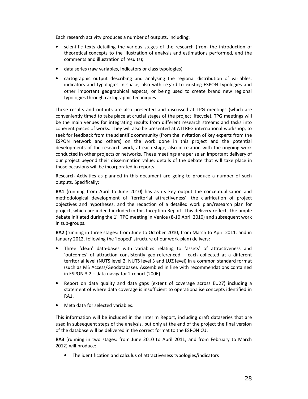Each research activity produces a number of outputs, including:

- scientific texts detailing the various stages of the research (from the introduction of theoretical concepts to the illustration of analysis and estimations performed, and the comments and illustration of results);
- data series (raw variables, indicators or class typologies)
- cartographic output describing and analysing the regional distribution of variables, indicators and typologies in space, also with regard to existing ESPON typologies and other important geographical aspects, or being used to create brand new regional typologies through cartographic techniques

These results and outputs are also presented and discussed at TPG meetings (which are conveniently timed to take place at crucial stages of the project lifecycle). TPG meetings will be the main venues for integrating results from different research streams and tasks into coherent pieces of works. They will also be presented at ATTREG international workshop, to seek for feedback from the scientific community (from the invitation of key experts from the ESPON network and others) on the work done in this project and the potential developments of the research work, at each stage, also in relation with the ongoing work conducted in other projects or networks. These meetings are per se an important delivery of our project beyond their dissemination value; details of the debate that will take place in those occasions will be incorporated in reports.

Research Activities as planned in this document are going to produce a number of such outputs. Specifically:

**RA1** (running from April to June 2010) has as its key output the conceptualisation and methodological development of 'territorial attractiveness', the clarification of project objectives and hypotheses, and the redaction of a detailed work plan/research plan for project, which are indeed included in this Inception Report. This delivery reflects the ample debate initiated during the  $1<sup>st</sup>$  TPG meeting in Venice (8-10 April 2010) and subsequent work in sub-groups.

**RA2** (running in three stages: from June to October 2010, from March to April 2011, and in January 2012, following the 'looped' structure of our work-plan) delivers:

- Three 'clean' data-bases with variables relating to 'assets' of attractiveness and 'outcomes' of attraction consistently geo-referenced – each collected at a different territorial level (NUTS level 2, NUTS level 3 and LUZ level) in a common standard format (such as MS Access/Geodatabase). Assembled in line with recommendations contained in ESPON 3.2 – data navigator 2 report (2006)
- Report on data quality and data gaps (extent of coverage across EU27) including a statement of where data coverage is insufficient to operationalise concepts identified in RA1.
- Meta data for selected variables.

This information will be included in the Interim Report, including draft dataseries that are used in subsequent steps of the analysis, but only at the end of the project the final version of the database will be delivered in the correct format to the ESPON CU.

**RA3** (running in two stages: from June 2010 to April 2011, and from February to March 2012) will produce:

• The identification and calculus of attractiveness typologies/indicators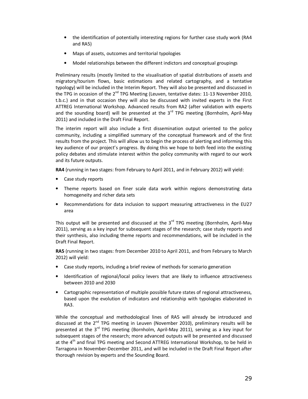- the identification of potentially interesting regions for further case study work (RA4 and RA5)
- Maps of assets, outcomes and territorial typologies
- Model relationships between the different indictors and conceptual groupings

Preliminary results (mostly limited to the visualisation of spatial distributions of assets and migratory/tourism flows, basic estimations and related cartography, and a tentative typology) will be included in the Interim Report. They will also be presented and discussed in the TPG in occasion of the  $2^{nd}$  TPG Meeting (Leuven, tentative dates: 11-13 November 2010, t.b.c.) and in that occasion they will also be discussed with invited experts in the First ATTREG International Workshop. Advanced results from RA2 (after validation with experts and the sounding board) will be presented at the  $3<sup>rd</sup>$  TPG meeting (Bornholm, April-May 2011) and included in the Draft Final Report.

The interim report will also include a first dissemination output oriented to the policy community, including a simplified summary of the conceptual framework and of the first results from the project. This will allow us to begin the process of alerting and informing this key audience of our project's progress. By doing this we hope to both feed into the existing policy debates and stimulate interest within the policy community with regard to our work and its future outputs.

**RA4** (running in two stages: from February to April 2011, and in February 2012) will yield:

- Case study reports
- Theme reports based on finer scale data work within regions demonstrating data homogeneity and richer data sets
- Recommendations for data inclusion to support measuring attractiveness in the EU27 area

This output will be presented and discussed at the  $3<sup>rd</sup>$  TPG meeting (Bornholm, April-May 2011), serving as a key input for subsequent stages of the research; case study reports and their synthesis, also including theme reports and recommendations, will be included in the Draft Final Report.

**RA5** (running in two stages: from December 2010 to April 2011, and from February to March 2012) will yield:

- Case study reports, including a brief review of methods for scenario generation
- Identification of regional/local policy levers that are likely to influence attractiveness between 2010 and 2030
- Cartographic representation of multiple possible future states of regional attractiveness, based upon the evolution of indicators and relationship with typologies elaborated in RA3.

While the conceptual and methodological lines of RA5 will already be introduced and discussed at the  $2^{nd}$  TPG meeting in Leuven (November 2010), preliminary results will be presented at the  $3<sup>rd</sup>$  TPG meeting (Bornholm, April-May 2011), serving as a key input for subsequent stages of the research; more advanced outputs will be presented and discussed at the 4<sup>th</sup> and final TPG meeting and Second ATTREG International Workshop, to be held in Tarragona in November-December 2011, and will be included in the Draft Final Report after thorough revision by experts and the Sounding Board.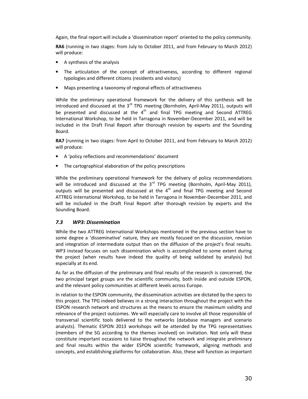Again, the final report will include a 'dissemination report' oriented to the policy community.

**RA6** (running in two stages: from July to October 2011, and from February to March 2012) will produce:

- A synthesis of the analysis
- The articulation of the concept of attractiveness, according to different regional typologies and different citizens (residents and visitors)
- Maps presenting a taxonomy of regional effects of attractiveness

While the preliminary operational framework for the delivery of this synthesis will be introduced and discussed at the  $3<sup>rd</sup>$  TPG meeting (Bornholm, April-May 2011), outputs will be presented and discussed at the  $4<sup>th</sup>$  and final TPG meeting and Second ATTREG International Workshop, to be held in Tarragona in November-December 2011, and will be included in the Draft Final Report after thorough revision by experts and the Sounding Board.

**RA7** (running in two stages: from April to October 2011, and from February to March 2012) will produce:

- A 'policy reflections and recommendations' document
- The cartographical elaboration of the policy prescriptions

While the preliminary operational framework for the delivery of policy recommendations will be introduced and discussed at the  $3^{rd}$  TPG meeting (Bornholm, April-May 2011), outputs will be presented and discussed at the  $4<sup>th</sup>$  and final TPG meeting and Second ATTREG International Workshop, to be held in Tarragona in November-December 2011, and will be included in the Draft Final Report after thorough revision by experts and the Sounding Board.

# *7.3 WP3: Dissemination*

While the two ATTREG International Workshops mentioned in the previous section have to some degree a 'disseminative' nature, they are mostly focused on the discussion, revision and integration of intermediate output than on the diffusion of the project's final results. WP3 instead focuses on such dissemination which is accomplished to some extent during the project (when results have indeed the quality of being validated by analysis) but especially at its end.

As far as the diffusion of the preliminary and final results of the research is concerned, the two principal target groups are the scientific community, both inside and outside ESPON, and the relevant policy communities at different levels across Europe.

In relation to the ESPON community, the dissemination activities are dictated by the specs to this project. The TPG indeed believes in a strong interaction throughout the project with the ESPON research network and structures as the means to ensure the maximum validity and relevance of the project outcomes. We will especially care to involve all those responsible of transversal scientific tools delivered to the networks (database managers and scenario analysts). Thematic ESPON 2013 workshops will be attended by the TPG representatives (members of the SG according to the themes involved) on invitation. Not only will these constitute important occasions to liaise throughout the network and integrate preliminary and final results within the wider ESPON scientific framework, aligning methods and concepts, and establishing platforms for collaboration. Also, these will function as important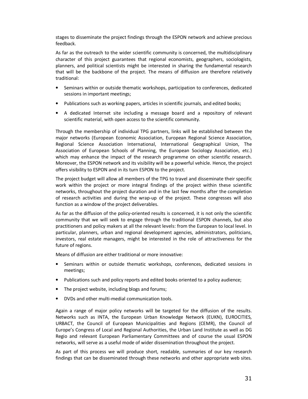stages to disseminate the project findings through the ESPON network and achieve precious feedback.

As far as the outreach to the wider scientific community is concerned, the multidisciplinary character of this project guarantees that regional economists, geographers, sociologists, planners, and political scientists might be interested in sharing the fundamental research that will be the backbone of the project. The means of diffusion are therefore relatively traditional:

- Seminars within or outside thematic workshops, participation to conferences, dedicated sessions in important meetings;
- Publications such as working papers, articles in scientific journals, and edited books;
- A dedicated Internet site including a message board and a repository of relevant scientific material, with open access to the scientific community.

Through the membership of individual TPG partners, links will be established between the major networks (European Economic Association, European Regional Science Association, Regional Science Association International, International Geographical Union, The Association of European Schools of Planning, the European Sociology Association, etc.) which may enhance the impact of the research programme on other scientific research. Moreover, the ESPON network and its visibility will be a powerful vehicle. Hence, the project offers visibility to ESPON and in its turn ESPON to the project.

The project budget will allow all members of the TPG to travel and disseminate their specific work within the project or more integral findings of the project within these scientific networks, throughout the project duration and in the last few months after the completion of research activities and during the wrap-up of the project. These congresses will also function as a window of the project deliverables.

As far as the diffusion of the policy-oriented results is concerned, it is not only the scientific community that we will seek to engage through the traditional ESPON channels, but also practitioners and policy makers at all the relevant levels: from the European to local level. In particular, planners, urban and regional development agencies, administrators, politicians, investors, real estate managers, might be interested in the role of attractiveness for the future of regions.

Means of diffusion are either traditional or more innovative:

- Seminars within or outside thematic workshops, conferences, dedicated sessions in meetings;
- Publications such and policy reports and edited books oriented to a policy audience;
- The project website, including blogs and forums;
- DVDs and other multi-medial communication tools.

Again a range of major policy networks will be targeted for the diffusion of the results. Networks such as INTA, the European Urban Knowledge Network (EUKN), EUROCITIES, URBACT, the Council of European Municipalities and Regions (CEMR), the Council of Europe's Congress of Local and Regional Authorities, the Urban Land Institute as well as DG Regio and relevant European Parliamentary Committees and of course the usual ESPON networks, will serve as a useful mode of wider dissemination throughout the project.

As part of this process we will produce short, readable, summaries of our key research findings that can be disseminated through these networks and other appropriate web sites.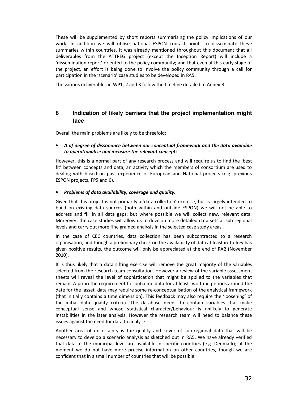These will be supplemented by short reports summarising the policy implications of our work. In addition we will utilise national ESPON contact points to disseminate these summaries within countries. It was already mentioned throughout this document that all deliverables from the ATTREG project (except the Inception Report) will include a 'dissemination report' oriented to the policy community; and that even at this early stage of the project, an effort is being done to involve the policy community through a call for participation in the 'scenario' case studies to be developed in RA5.

The various deliverables in WP1, 2 and 3 follow the timeline detailed in Annex B.

# **8 Indication of likely barriers that the project implementation might face**

Overall the main problems are likely to be threefold:

# • *A of degree of dissonance between our conceptual framework and the data available to operationalise and measure the relevant concepts*.

However, this is a normal part of any research process and will require us to find the 'best fit' between concepts and data, an activity which the members of consortium are used to dealing with based on past experience of European and National projects (e.g. previous ESPON projects, FP5 and 6).

# • *Problems of data availability, coverage and quality.*

Given that this project is not primarily a 'data collection' exercise, but is largely intended to build on existing data sources (both within and outside ESPON) we will not be able to address and fill in all data gaps, but where possible we will collect new, relevant data. Moreover, the case studies will allow us to develop more detailed data sets at sub regional levels and carry out more fine grained analysis in the selected case study areas.

In the case of CEC countries, data collection has been subcontracted to a research organisation, and though a preliminary check on the availability of data at least in Turkey has given positive results, the outcome will only be appreciated at the end of RA2 (November 2010).

It is thus likely that a data sifting exercise will remove the great majority of the variables selected from the research team consultation. However a review of the variable assessment sheets will reveal the level of sophistication that might be applied to the variables that remain. A priori the requirement for outcome data for at least two time periods around the date for the 'asset' data may require some re-conceptualisation of the analytical framework (that initially contains a time dimension). This feedback may also require the 'loosening' of the initial data quality criteria. The database needs to contain variables that make conceptual sense and whose statistical character/behaviour is unlikely to generate instabilities in the later analysis. However the research team will need to balance these issues against the need for data to analyse.

Another area of uncertainty is the quality and cover of sub-regional data that will be necessary to develop a scenario analysis as sketched out in RA5. We have already verified that data at the municipal level are available in specific countries (e.g. Denmark); at the moment we do not have more precise information on other countries, though we are confident that in a small number of countries that will be possible.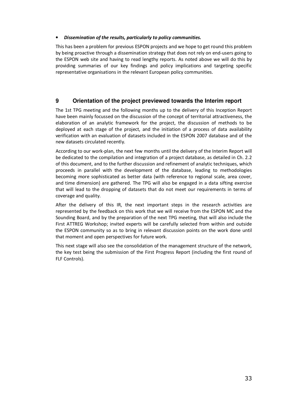### • *Dissemination of the results, particularly to policy communities.*

This has been a problem for previous ESPON projects and we hope to get round this problem by being proactive through a dissemination strategy that does not rely on end-users going to the ESPON web site and having to read lengthy reports. As noted above we will do this by providing summaries of our key findings and policy implications and targeting specific representative organisations in the relevant European policy communities.

# **9 Orientation of the project previewed towards the Interim report**

The 1st TPG meeting and the following months up to the delivery of this Inception Report have been mainly focussed on the discussion of the concept of territorial attractiveness, the elaboration of an analytic framework for the project, the discussion of methods to be deployed at each stage of the project, and the initiation of a process of data availability verification with an evaluation of datasets included in the ESPON 2007 database and of the new datasets circulated recently.

According to our work-plan, the next few months until the delivery of the Interim Report will be dedicated to the compilation and integration of a project database, as detailed in Ch. 2.2 of this document, and to the further discussion and refinement of analytic techniques, which proceeds in parallel with the development of the database, leading to methodologies becoming more sophisticated as better data (with reference to regional scale, area cover, and time dimension) are gathered. The TPG will also be engaged in a data sifting exercise that will lead to the dropping of datasets that do not meet our requirements in terms of coverage and quality.

After the delivery of this IR, the next important steps in the research activities are represented by the feedback on this work that we will receive from the ESPON MC and the Sounding Board, and by the preparation of the next TPG meeting, that will also include the First ATTREG Workshop; invited experts will be carefully selected from within and outside the ESPON community so as to bring in relevant discussion points on the work done until that moment and open perspectives for future work.

This next stage will also see the consolidation of the management structure of the network, the key test being the submission of the First Progress Report (including the first round of FLF Controls).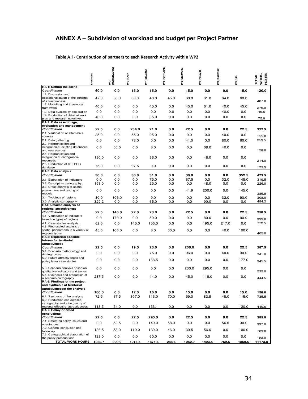# **ANNEX A – Subdivision of workload and budget per Project Partner**

# **Table A.i - Contribution of partners to each Research Activity within WP2**

|                                                                  | MMdS) dT | NETHERLANDS)<br>r | <b>PP3 (ITALY)</b> | PP4 (BELGIUM) | PPS (PORTUGAL) | <b>PROMINERS</b> | PPT (POLAND) | WINEINOTS) 8dc | bin) Gdd | HOURS<br>WORK-<br><b>TOTAL</b> |
|------------------------------------------------------------------|----------|-------------------|--------------------|---------------|----------------|------------------|--------------|----------------|----------|--------------------------------|
| RA 1: Setting the scene                                          |          |                   |                    |               |                |                  |              |                |          |                                |
| Coordination                                                     | 60.0     | 0.0               | 15.0               | 15.0          | 0.0            | 15.0             | 0.0          | 0.0            | 15.0     | 120.0                          |
| 1.1. Discussion and                                              |          |                   |                    |               |                |                  |              |                |          |                                |
| operationalisation of the concept<br>of attractiveness           | 47.0     | 50.0              | 60.0               | 40.0          | 45.0           | 60.0             | 61.0         | 64.0           | 60.0     | 487.0                          |
| 1.2. Modelling and theoretical                                   |          |                   |                    |               |                |                  |              |                |          |                                |
| framework                                                        | 40.0     | 0.0               | 0.0                | 45.0          | 0.0            | 45.0             | 61.0         | 40.0           | 45.0     | 276.0                          |
| 1.3. Data availability exploration                               | 0.0      | 0.0               | 0.0                | 0.0           | 9.6            | 0.0              | 0.0          | 40.0           | 0.0      | 49.6                           |
| 1.4. Production of detailed work<br>plan and research objectives | 40.0     | 0.0               | 0.0                | 35.0          | 0.0            | 0.0              | 0.0          | 0.0            | 0.0      | 75.0                           |
| RA 2: Data assemblage,                                           |          |                   |                    |               |                |                  |              |                |          |                                |
| evaluation and management                                        |          |                   |                    |               |                |                  |              |                |          |                                |
| Coordination                                                     | 22.5     | 0.0               | 234.0              | 21.0          | 0.0            | 22.5             | 0.0          | 0.0            | 22.5     | 322.5                          |
| 2.1. Verification of alternative<br>sources                      | 35.0     | 0.0               | 55.0               | 25.0          | 0.0            | 0.0              | 0.0          | 40.0           | 0.0      | 155.0                          |
| 2.2. Data gathering                                              | 0.0      | 0.0               | 78.0               | 0.0           | 0.0            | 41.5             | 0.0          | 80.0           | 60.0     | 259.5                          |
| 2.3. Harmonisation and                                           |          |                   |                    |               |                |                  |              |                |          |                                |
| integration of existing databases                                | 0.0      | 50.0              | 0.0                | 0.0           | 0.0            | 0.0              | 68.0         | 40.0           | 0.0      |                                |
| and new sources<br>2.4. Harmonisation and                        |          |                   |                    |               |                |                  |              |                |          | 158.0                          |
| integration of cartographic                                      | 130.0    | 0.0               | 0.0                | 36.0          | 0.0            | 0.0              | 48.0         | 0.0            | 0.0      |                                |
| resources                                                        |          |                   |                    |               |                |                  |              |                |          | 214.0                          |
| 2.5. Production of ATTREG                                        | 75.0     | 0.0               | 97.5               | 0.0           | 0.0            | 0.0              | 0.0          | 0.0            | 0.0      |                                |
| database<br>RA 3: Data analysis                                  |          |                   |                    |               |                |                  |              |                |          | 172.5                          |
| Coordination                                                     | 30.0     | 0.0               | 30.0               | 31.0          | 0.0            | 30.0             | 0.0          | 0.0            | 352.5    | 473.5                          |
| 3.1. Elaboration of indicators                                   | 0.0      | 0.0               | 0.0                | 75.0          | 0.0            | 67.5             | 0.0          | 32.0           | 145.0    | 319.5                          |
| 3.2. Descriptive cartography                                     | 153.0    | 0.0               | 0.0                | 25.0          | 0.0            | 0.0              | 48.0         | 0.0            | 0.0      | 226.0                          |
| 3.3. Cross-analysis of spatial                                   |          |                   |                    |               |                |                  |              |                |          |                                |
| phenomena and testing of                                         | 0.0      | 0.0               | 0.0                | 0.0           | 0.0            | 41.9             | 200.0        | 0.0            | 145.0    | 386.9                          |
| models<br>3.4. Typology of regions                               | 80.0     | 106.0             | 0.0                | 0.0           | 0.0            | 0.0              | 0.0          | 32.0           | 90.0     | 308.0                          |
| 3.5. Analytic cartography                                        | 329.2    | 0.0               | 0.0                | 65.0          | 0.0            | 0.0              | 90.0         | 0.0            | 0.0      | 484.2                          |
| RA4: Detailed analysis of                                        |          |                   |                    |               |                |                  |              |                |          |                                |
| regional attractiveness                                          |          |                   |                    |               |                |                  |              |                |          |                                |
| Coordination                                                     | 22.5     | 146.0             | 22.0               | 23.0          | 0.0            | 22.5             | 0.0          | 0.0            | 22.5     | 258.5                          |
| 4.1. Verification of indicators<br>based on types of regions     | 0.0      | 170.0             | 0.0                | 59.0          | 0.0            | 0.0              | 80.0         | 0.0            | 90.0     | 399.0                          |
| 4.2. Case studies analysis                                       | 62.5     | 0.0               | 145.0              | 153.0         | 0.0            | 0.0              | 195.0        | 217.0          | 0.0      | 772.5                          |
| 4.3. Fine-scaled analysis of                                     |          |                   |                    |               |                |                  |              |                |          |                                |
| spatial phenomena in a variety of                                | 45.0     | 160.0             | 0.0                | 0.0           | 60.0           | 0.0              | 0.0          | 40.0           | 100.0    |                                |
| regional types<br>RA 5: Exploring possible                       |          |                   |                    |               |                |                  |              |                |          | 405.0                          |
| futures for territorial                                          |          |                   |                    |               |                |                  |              |                |          |                                |
| attractiveness                                                   |          |                   |                    |               |                |                  |              |                |          |                                |
| Coordination                                                     | 22.5     | 0.0               | 19.5               | 23.0          | 0.0            | 200.0            | 0.0          | 0.0            | 22.5     | 287.5                          |
| 5.1. Scenario methodology and<br>driving forces                  | 0.0      | 0.0               | 0.0                | 75.0          | 0.0            | 96.0             | 0.0          | 40.0           | 30.0     | 241.0                          |
| 5.2. Future attractiveness and                                   |          |                   |                    |               |                |                  |              |                | 177.0    |                                |
| policy lever case studies                                        | 0.0      | 0.0               | 0.0                | 168.5         | 0.0            | 0.0              | 0.0          | 0.0            |          | 345.5                          |
| 5.3. Scenario analysis based on                                  | 0.0      | 0.0               | 0.0                | 0.0           | 0.0            | 230.0            | 295.0        | 0.0            | 0.0      |                                |
| qualitative indicators and trends                                |          |                   |                    |               |                |                  |              |                |          | 525.0                          |
| 5.4. Synthesis and production of                                 | 237.5    | 0.0               | 0.0                | 44.0          | 0.0            | 45.0             | 118.0        | 0.0            | 0.0      |                                |
| a scenario cartography<br>RA 6: Findings of the project          |          |                   |                    |               |                |                  |              |                |          | 444.5                          |
| and synthesis of territorial                                     |          |                   |                    |               |                |                  |              |                |          |                                |
| attractivenessof the analysis                                    |          |                   |                    |               |                |                  |              |                |          |                                |
| Coordination                                                     | 100.0    | 0.0               | 12.0               | 16.0          | 0.0            | 15.0             | 0.0          | 0.0            | 15.0     | 158.0                          |
| 6.1. Synthesis of the analysis                                   | 72.5     | 67.5              | 107.0              | 113.0         | 70.0           | 59.0             | 83.5         | 48.0           | 115.0    | 735.5                          |
| 6.2. Production and detailed<br>cartography and a taxonomy of    |          |                   |                    |               |                |                  |              |                |          |                                |
| regional effects of attractiveness                               | 113.5    | 54.0              | 0.0                | 153.1         | 0.0            | 0.0              | 0.0          | 0.0            | 120.0    | 440.6                          |
| RA 7: Policy-oriented                                            |          |                   |                    |               |                |                  |              |                |          |                                |
| conclusions                                                      |          |                   |                    |               |                |                  |              |                |          |                                |
| Coordination<br>7.1. Emerging policy issues and                  | 22.5     | 0.0               | 22.5               | 295.0         | 0.0            | 22.5             | 0.0          | 0.0            | 22.5     | 385.0                          |
| orientations                                                     | 0.0      | 52.5              | 0.0                | 140.0         | 58.0           | 0.0              | 0.0          | 56.5           | 30.0     | 337.0                          |
| 7.2. General conclusion and                                      | 126.5    | 53.0              | 119.0              | 139.0         | 46.0           | 39.5             | 56.0         | 0.0            | 190.0    |                                |
| follow up<br>7.3. Cartographical elaboration of                  |          |                   |                    |               |                |                  |              |                |          | 769.0                          |
| the policy prescriptions                                         | 123.0    | 0.0               | 0.0                | 60.0          | 0.0            | 0.0              | 0.0          | 0.0            | 0.0      | 183.0                          |
| <b>TOTAL WORK HOURS</b>                                          | 1989.7   | 909.0             | 1016.5             | 1874.6        | 288.6          | 1052.9           | 1403.5       | 769.5          | 1869.5   | 11173.8                        |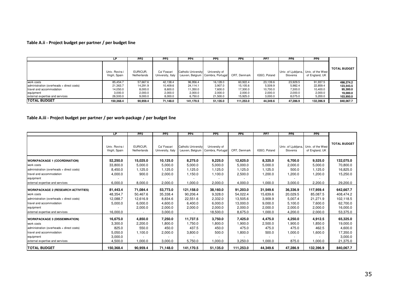# **Table A.ii - Project budget per partner / per budget line**

|                                           | LP                               | PP <sub>2</sub>         | PP <sub>3</sub>                  | PP <sub>4</sub>     | PP <sub>5</sub>                                      | PP <sub>6</sub> | PP <sub>7</sub> | PP8                                               | PP <sub>9</sub> |                     |
|-------------------------------------------|----------------------------------|-------------------------|----------------------------------|---------------------|------------------------------------------------------|-----------------|-----------------|---------------------------------------------------|-----------------|---------------------|
|                                           | Univ. Rovira i<br>Virgili, Spain | EURICUR.<br>Netherlands | Ca' Foscari<br>University, Italy | Catholic University | University of<br>Leuven, Belgium   Coimbra, Portugal | CRT. Denmark    | IGSO, Poland    | Univ. of Liubliana, Univ. of the West<br>Slovenia | of England, UK  | <b>TOTAL BUDGET</b> |
| work costs                                | 85.454.7                         | 57.667.6                | 42.138.4                         | 96,956.4            | 16.128.0                                             | 60.922.4        | 23.139.6        | 23.929.5                                          | 91,937.5        | 498.274.2           |
| administration (overheads + direct costs) | 21,363.7                         | 14.291.9                | 10,409.6                         | 24.114.1            | 3,907.0                                              | 15.105.6        | 5,509.9         | 5,982.4                                           | 22,859.4        | 123.543.5           |
| travel and accommodation                  | 14,050.0                         | 8,000.0                 | 8,600.0                          | 11,350.0            | 7,600.0                                              | 17,300.0        | 10,700.0        | 7,300.0                                           | 10,400.0        | 95,300.0            |
| equipment                                 | 3,000.0                          | 2,000.0                 | 2,000.0                          | 2,000.0             | 2.000.0                                              | 2,000.0         | 2,000.0         | 2,000.0                                           | 2,000.0         | 19.000.0            |
| external expertise and services           | 26,500.0                         | 9,000.0                 | 8.000.0                          | 6,750.0             | 21.500.0                                             | 15.925.0        | 3,000.0         | 8.075.0                                           | 5,200.0         | 103.950.0           |
| ITOTAL BUDGET                             | 150.368.4                        | 90.959.4                | 71.148.0                         | 141.170.5           | 51.135.0                                             | 111.253.0       | 44.349.6        | 47.286.9                                          | 132.396.9       | 840.067.7           |

# **Table A.iii - Project budget per partner / per work-package / per budget line**

|                                            | LP.                              | PP <sub>2</sub>         | PP3                              | PP4                 | PP <sub>5</sub>                                      | PP <sub>6</sub> | PP7          | PP8                                               | PP9            |                     |
|--------------------------------------------|----------------------------------|-------------------------|----------------------------------|---------------------|------------------------------------------------------|-----------------|--------------|---------------------------------------------------|----------------|---------------------|
|                                            | Univ. Rovira i<br>Virgili, Spain | EURICUR,<br>Netherlands | Ca' Foscari<br>University, Italy | Catholic University | University of<br>Leuven, Belgium   Coimbra, Portugal | CRT. Denmark    | IGSO, Poland | Univ. of Ljubljana, Univ. of the West<br>Slovenia | of England, UK | <b>TOTAL BUDGET</b> |
| <b>WORKPACKAGE 1 (COORDINATION)</b>        | 52,250.0                         | 15,025.0                | 10,125.0                         | 8,275.0             | 9,225.0                                              | 12,625.0        | 8,325.0      | 6,700.0                                           | 9,525.0        | 132,075.0           |
| work costs                                 | 33,800.0                         | 5,000.0                 | 5,000.0                          | 5,000.0             | 5,000.0                                              | 5,000.0         | 5,000.0      | 2,000.0                                           | 5,000.0        | 70,800.0            |
| administration (overheads + direct costs)  | 8,450.0                          | 1,125.0                 | 1,125.0                          | 1,125.0             | 1,125.0                                              | 1,125.0         | 1,125.0      | 500.0                                             | 1,125.0        | 16,825.0            |
| travel and accommodation                   | 4,000.0                          | 900.0                   | 2,000.0                          | 1,150.0             | 1,100.0                                              | 2,500.0         | 1,200.0      | 1,200.0                                           | 1,200.0        | 15,250.0            |
| equipment                                  |                                  |                         |                                  |                     |                                                      |                 |              |                                                   |                |                     |
| external expertise and services            | 6,000.0                          | 8,000.0                 | 2,000.0                          | 1,000.0             | 2,000.0                                              | 4,000.0         | 1,000.0      | 3,000.0                                           | 2,200.0        | 29,200.0            |
| <b>WORKPACKAGE 2 (RESEARCH ACTIVITIES)</b> | 81,443.4                         | 71,084.4                | 53,773.0                         | 121,158.0           | 38,160.0                                             | 91,203.0        | 31,549.6     | 36,336.9                                          | 117,959.4      | 642,667.7           |
| work costs                                 | 48,354.7                         | 50,467.6                | 35,338.4                         | 90,206.4            | 9,328.0                                              | 54,022.4        | 15,639.6     | 20,029.5                                          | 85,087.5       | 408,474.2           |
| administration (overheads + direct costs)  | 12,088.7                         | 12,616.9                | 8,834.6                          | 22,551.6            | 2,332.0                                              | 13,505.6        | 3,909.9      | 5,007.4                                           | 21,271.9       | 102,118.5           |
| travel and accommodation                   | 5,000.0                          | 6,000.0                 | 4,600.0                          | 6,400.0             | 6,000.0                                              | 13,000.0        | 9,000.0      | 5,100.0                                           | 7,600.0        | 62,700.0            |
| equipment                                  |                                  | 2,000.0                 | 2,000.0                          | 2,000.0             | 2,000.0                                              | 2,000.0         | 2,000.0      | 2,000.0                                           | 2,000.0        | 16,000.0            |
| external expertise and services            | 16,000.0                         |                         | 3,000.0                          |                     | 18,500.0                                             | 8,675.0         | 1,000.0      | 4,200.0                                           | 2,000.0        | 53,375.0            |
| <b>WORKPACKAGE 3 (DISSEMINATION)</b>       | 16,675.0                         | 4,850.0                 | 7,250.0                          | 11,737.5            | 3,750.0                                              | 7,425.0         | 4,475.0      | 4,250.0                                           | 4,912.5        | 65,325.0            |
| work costs                                 | 3,300.0                          | 2,200.0                 | 1,800.0                          | 1,750.0             | 1,800.0                                              | 1,900.0         | 2,500.0      | 1,900.0                                           | 1,850.0        | 19,000.0            |
| administration (overheads + direct costs)  | 825.0                            | 550.0                   | 450.0                            | 437.5               | 450.0                                                | 475.0           | 475.0        | 475.0                                             | 462.5          | 4,600.0             |
| travel and accommodation                   | 5,050.0                          | 1,100.0                 | 2,000.0                          | 3,800.0             | 500.0                                                | 1,800.0         | 500.0        | 1,000.0                                           | 1,600.0        | 17,350.0            |
| equipment                                  | 3,000.0                          |                         |                                  |                     |                                                      |                 |              |                                                   |                | 3,000.0             |
| external expertise and services            | 4,500.0                          | 1,000.0                 | 3,000.0                          | 5,750.0             | 1,000.0                                              | 3,250.0         | 1,000.0      | 875.0                                             | 1,000.0        | 21,375.0            |
| <b>TOTAL BUDGET</b>                        | 150,368.4                        | 90,959.4                | 71,148.0                         | 141,170.5           | 51,135.0                                             | 111,253.0       | 44,349.6     | 47,286.9                                          | 132,396.9      | 840,067.7           |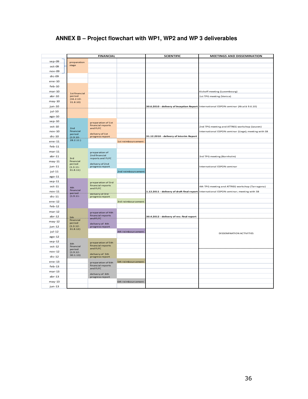|                    | <b>FINANCIAL</b>        |                                         |                    | <b>SCIENTIFIC</b>                         | MEETINGS AND DISSEMINATION                                                              |
|--------------------|-------------------------|-----------------------------------------|--------------------|-------------------------------------------|-----------------------------------------------------------------------------------------|
| sep-09             | preparation             |                                         |                    |                                           |                                                                                         |
| oct-09             | stage                   |                                         |                    |                                           |                                                                                         |
| nov-09             |                         |                                         |                    |                                           |                                                                                         |
| dic-09             |                         |                                         |                    |                                           |                                                                                         |
| ene-10             |                         |                                         |                    |                                           |                                                                                         |
| $feb-10$           |                         |                                         |                    |                                           |                                                                                         |
| $mar-10$           |                         |                                         |                    |                                           | Kickoff meeting (Luxembourg)                                                            |
| $abr-10$           | 1st financial<br>period |                                         |                    |                                           | 1st TPG meeting (Venice)                                                                |
| $may-10$           | $(16.2.10 -$            |                                         |                    |                                           |                                                                                         |
| jun-10             | 31.8.10)                |                                         |                    |                                           | 30.6.2010 - delivery of Inception Report International ESPON seminar (Alcalá 9.6.10)    |
| jul-10             |                         |                                         |                    |                                           |                                                                                         |
| ago-10             |                         |                                         |                    |                                           |                                                                                         |
| $sep-10$           |                         |                                         |                    |                                           |                                                                                         |
| oct-10             |                         | preparation of 1st<br>financial reports |                    |                                           | 2nd TPG meeting and ATTREG workshop (Leuven)                                            |
| $nov-10$           | 2nd<br>financial        | and FLFC                                |                    |                                           | International ESPON seminar (Liege); meeting with SB                                    |
|                    | period                  | delivery of 1st                         |                    | 31.12.2010 - delivery of Interim Report   |                                                                                         |
| $dic-10$<br>ene-11 | (1.9.10<br>28.2.11)     | progress report                         |                    |                                           |                                                                                         |
| $feb-11$           |                         |                                         | 1st reimboursement |                                           |                                                                                         |
| $mar-11$           |                         |                                         |                    |                                           |                                                                                         |
| $abr-11$           |                         | preparation of<br>2nd financial         |                    |                                           |                                                                                         |
|                    | 3rd<br>financial        | reports and FLFC                        |                    |                                           | 3rd TPG meeting (Bornholm)                                                              |
| $may-11$           | period                  | delivery of 2nd                         |                    |                                           |                                                                                         |
| jun-11             | $(1.3.11 -$<br>31.8.11) | progress report                         |                    |                                           | International ESPON seminar                                                             |
| jul-11             |                         |                                         | 2nd reimboursement |                                           |                                                                                         |
| $ago-11$           |                         |                                         |                    |                                           |                                                                                         |
| $sep-11$           |                         | preparation of 3rd<br>financial reports |                    |                                           |                                                                                         |
| $oct-11$           | 4th<br>financial        | and FLFC                                |                    |                                           | 4th TPG meeting and ATTREG workshop (Tarragona)                                         |
| $nov-11$           | period-<br>$(1.9.11 -$  | delivery of 3rd"                        |                    |                                           | 1.12.2011 - delivery of draft final report International ESPON seminar; meeting with SB |
| $dic-11$           |                         | progress report                         |                    |                                           |                                                                                         |
| $ene-12$           |                         |                                         | 3rd reimboursement |                                           |                                                                                         |
| $feb-12$           |                         |                                         |                    |                                           |                                                                                         |
| $mar-12$           |                         | preparation of 4th<br>financial reports |                    |                                           |                                                                                         |
| $abr-12$           | 5th.<br>financial       | and FLFC-                               |                    | 30.4.2012 - delivery of rev. final report |                                                                                         |
| $may-12$           | period                  | delivery of 4th                         |                    |                                           |                                                                                         |
| jun-12             | $(1.3.12 -$<br>31.8.12) | progress report                         |                    |                                           |                                                                                         |
| jul-12             |                         |                                         | 4th reimboursement |                                           | DISSEMINATION ACTIVITIES                                                                |
| $ago-12$           |                         |                                         |                    |                                           |                                                                                         |
| $sep-12$           | 6th                     | preparation of 5th<br>financial reports |                    |                                           |                                                                                         |
| oct-12             | financial<br>period     | and FLFC                                |                    |                                           |                                                                                         |
| $nov-12$           | $(1.9.12 -$<br>30.1.13) | delivery of 5th                         |                    |                                           |                                                                                         |
| $dic-12$           |                         | progress report                         |                    |                                           |                                                                                         |
| $ene-13$           |                         | preparation of 6th<br>financial reports | 5th reimboursement |                                           |                                                                                         |
| $feb-13$           |                         | and FLFC                                |                    |                                           |                                                                                         |
| $mar-13$           |                         | delivery of 6th                         |                    |                                           |                                                                                         |
| $abr-13$           |                         | progress report                         |                    |                                           |                                                                                         |
| $may-13$           |                         |                                         | 6th reimboursement |                                           |                                                                                         |
| jun-13             |                         |                                         |                    |                                           |                                                                                         |

# **ANNEX B – Project flowchart with WP1, WP2 and WP 3 deliverables**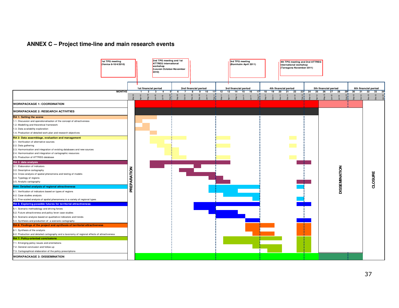# **ANNEX C – Project time-line and main research events**

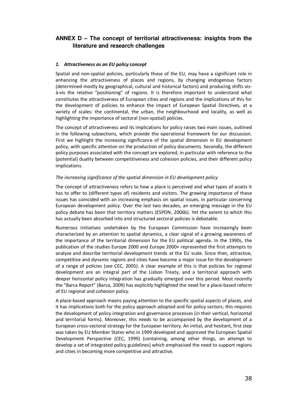# **ANNEX D – The concept of territorial attractiveness: insights from the literature and research challenges**

### *1. Attractiveness as an EU policy concept*

Spatial and non-spatial policies, particularly those of the EU, may have a significant role in enhancing the attractiveness of places and regions, by changing endogenous factors (determined mostly by geographical, cultural and historical factors) and producing shifts visà-vis the relative "positioning" of regions. It is therefore important to understand what constitutes the attractiveness of European cities and regions and the implications of this for the development of policies to enhance the impact of European Spatial Directives, at a variety of scales: the continental, the urban, the neighbourhood and locality, as well as highlighting the importance of sectoral (non-spatial) policies.

The concept of attractiveness and its implications for policy raises two main issues, outlined in the following subsections, which provide the operational framework for our discussion. First we highlight the increasing significance of the spatial dimension in EU development policy, with specific attention on the production of policy documents. Secondly, the different policy purposes associated with the concept are explored, in particular with reference to the (potential) duality between competitiveness and cohesion policies, and their different policy implications.

#### *The increasing significance of the spatial dimension in EU development policy*

The concept of attractiveness refers to how a place is perceived and what types of assets it has to offer to (different types of) residents and visitors. The growing importance of these issues has coincided with an increasing emphasis on spatial issues, in particular concerning European development policy. Over the last two decades, an emerging message in the EU policy debate has been that territory matters (ESPON, 2006b). Yet the extent to which this has actually been absorbed into and structured sectoral policies is debatable.

Numerous initiatives undertaken by the European Commission have increasingly been characterized by an attention to spatial dynamics, a clear signal of a growing awareness of the importance of the territorial dimension for the EU political agenda. In the 1990s, the publication of the studies Europe 2000 and Europe 2000+ represented the first attempts to analyse and describe territorial development trends at the EU scale. Since then, attractive, competitive and dynamic regions and cities have become a major issue for the development of a range of policies (see CEC, 2005). A clear example of this is that policies for regional development are an integral part of the Lisbon Treaty, and a territorial approach with deeper horizontal policy integration has gradually emerged over this period. Most recently the "Barca Report" (Barca, 2009) has explicitly highlighted the need for a place-based reform of EU regional and cohesion policy.

A place-based approach means paying attention to the specific spatial aspects of places, and it has implications both for the policy approach adopted and for policy sectors; this requires the development of policy integration and governance processes (in their vertical, horizontal and territorial forms). Moreover, this needs to be accompanied by the development of a European cross-sectoral strategy for the European territory. An initial, and hesitant, first step was taken by EU Member States who in 1999 developed and approved the European Spatial Development Perspective (CEC, 1999) (containing, among other things, an attempt to develop a set of integrated policy guidelines) which emphasised the need to support regions and cities in becoming more competitive and attractive.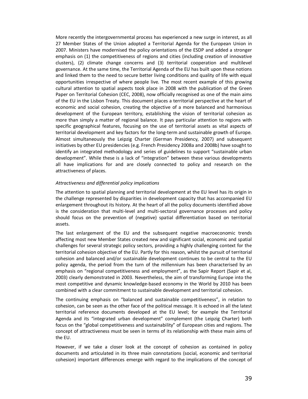More recently the intergovernmental process has experienced a new surge in interest, as all 27 Member States of the Union adopted a Territorial Agenda for the European Union in 2007. Ministers have modernised the policy orientations of the ESDP and added a stronger emphasis on (1) the competitiveness of regions and cities (including creation of innovative clusters), (2) climate change concerns and (3) territorial cooperation and multilevel governance. At the same time, the Territorial Agenda of the EU has built upon these notions and linked them to the need to secure better living conditions and quality of life with equal opportunities irrespective of where people live. The most recent example of this growing cultural attention to spatial aspects took place in 2008 with the publication of the Green Paper on Territorial Cohesion (CEC, 2008), now officially recognised as one of the main aims of the EU in the Lisbon Treaty. This document places a territorial perspective at the heart of economic and social cohesion, creating the objective of a more balanced and harmonious development of the European territory, establishing the vision of territorial cohesion as more than simply a matter of regional balance. It pays particular attention to regions with specific geographical features, focusing on the use of territorial assets as vital aspects of territorial development and key factors for the long-term and sustainable growth of Europe. Almost simultaneously the Leipzig Charter (German Presidency, 2007) and subsequent initiatives by other EU presidencies (e.g. French Presidency 2008a and 2008b) have sought to identify an integrated methodology and series of guidelines to support "sustainable urban development". While these is a lack of "integration" between these various developments all have implications for and are closely connected to policy and research on the attractiveness of places.

#### *Attractiveness and differential policy implications*

The attention to spatial planning and territorial development at the EU level has its origin in the challenge represented by disparities in development capacity that has accompanied EU enlargement throughout its history. At the heart of all the policy documents identified above is the consideration that multi-level and multi-sectoral governance processes and policy should focus on the prevention of (negative) spatial differentiation based on territorial assets.

The last enlargement of the EU and the subsequent negative macroeconomic trends affecting most new Member States created new and significant social, economic and spatial challenges for several strategic policy sectors, providing a highly challenging context for the territorial cohesion objective of the EU. Partly for this reason, whilst the pursuit of territorial cohesion and balanced and/or sustainable development continues to be central to the EU policy agenda, the period from the turn of the millennium has been characterised by an emphasis on "regional competitiveness and employment", as the Sapir Report (Sapir et al, 2003) clearly demonstrated in 2003. Nevertheless, the aim of transforming Europe into the most competitive and dynamic knowledge-based economy in the World by 2010 has been combined with a clear commitment to sustainable development and territorial cohesion.

The continuing emphasis on "balanced and sustainable competitiveness", in relation to cohesion, can be seen as the other face of the political message. It is echoed in all the latest territorial reference documents developed at the EU level; for example the Territorial Agenda and its "integrated urban development" complement (the Leipzig Charter) both focus on the "global competitiveness and sustainability" of European cities and regions. The concept of attractiveness must be seen in terms of its relationship with these main aims of the EU.

However, if we take a closer look at the concept of cohesion as contained in policy documents and articulated in its three main connotations (social, economic and territorial cohesion) important differences emerge with regard to the implications of the concept of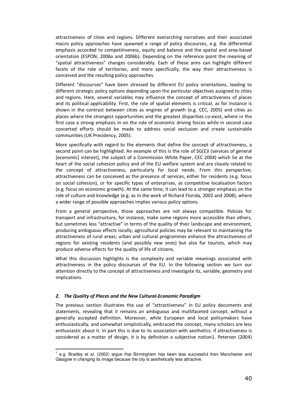attractiveness of cities and regions. Different overarching narratives and their associated macro policy approaches have spawned a range of policy discourses, e.g. the differential emphasis accorded to competitiveness, equity and balance and the spatial and area-based orientation (ESPON, 2006a and 2006b). Depending on the reference point the meaning of "spatial attractiveness" changes considerably. Each of these aims can highlight different facets of the role of territories, and more specifically, the way their attractiveness is conceived and the resulting policy approaches.

Different "discourses" have been stressed by different EU policy orientations, leading to different strategic policy options depending upon the particular objectives assigned to cities and regions. Here, several variables may influence the concept of attractiveness of places and its political applicability. First, the role of spatial elements is critical, as for instance is shown in the contrast between cities as engines of growth (e.g. CEC, 2005) and cities as places where the strongest opportunities and the greatest disparities co-exist, where in the first case a strong emphasis in on the role of economic driving forces while in second case concerted efforts should be made to address social exclusion and create sustainable communities (UK Presidency, 2005).

More specifically with regard to the elements that define the concept of attractiveness, a second point can be highlighted. An example of this is the role of  $SG(E)$ I (services of general [economic] interest), the subject of a Commission White Paper, CEC 2004) which lie at the heart of the social cohesion policy and of the EU welfare system and are closely related to the concept of attractiveness, particularly for local needs. From this perspective, attractiveness can be conceived as the presence of services, either for residents (e.g. focus on social cohesion), or for specific types of enterprises, as competitive localisation factors (e.g. focus on economic growth). At the same time, it can lead to a stronger emphasis on the role of culture and knowledge (e.g. as in the work of Richard Florida, 2002 and 2008), where a wider range of possible approaches implies various policy options.

From a general perspective, those approaches are not always compatible. Policies for transport and infrastructure, for instance, make some regions more accessible than others, but sometimes less "attractive" in terms of the quality of their landscape and environment, producing ambiguous effects locally; agricultural policies may be relevant to maintaining the attractiveness of rural areas; urban and cultural programmes enhance the attractiveness of regions for existing residents (and possibly new ones) but also for tourists, which may produce adverse effects for the quality of life of citizens.

What this discussion highlights is the complexity and variable meanings associated with attractiveness in the policy discourses of the EU. In the following section we turn our attention directly to the concept of attractiveness and investigate its, variable, geometry and implications.

#### *2. The Quality of Places and the New Cultural-Economic Paradigm*

The previous section illustrates the use of "attractiveness" in EU policy documents and statements, revealing that it remains an ambiguous and multifaceted concept, without a generally accepted definition. Moreover, while European and local policymakers have enthusiastically, and somewhat simplistically, embraced the concept, many scholars are less enthusiastic about it. In part this is due to its association with aesthetics: if attractiveness is considered as a matter of design, it is by definition a subjective notion1. Petersen (2004)

 $\overline{\phantom{a}}$ 1 e.g. Bradley et al. (2002) argue that Birmingham has been less successful than Manchester and Glasgow in changing its image because the city is aesthetically less attractive.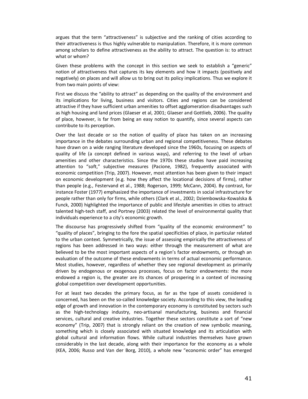argues that the term "attractiveness" is subjective and the ranking of cities according to their attractiveness is thus highly vulnerable to manipulation. Therefore, it is more common among scholars to define attractiveness as the ability to attract. The question is: to attract what or whom?

Given these problems with the concept in this section we seek to establish a "generic" notion of attractiveness that captures its key elements and how it impacts (positively and negatively) on places and will allow us to bring out its policy implications. Thus we explore it from two main points of view:

First we discuss the "ability to attract" as depending on the quality of the environment and its implications for living, business and visitors. Cities and regions can be considered attractive if they have sufficient urban amenities to offset agglomeration disadvantages such as high housing and land prices (Glaeser et al, 2001; Glaeser and Gottlieb, 2006). The quality of place, however, is far from being an easy notion to quantify, since several aspects can contribute to its perception.

Over the last decade or so the notion of quality of place has taken on an increasing importance in the debates surrounding urban and regional competitiveness. These debates have drawn on a wide ranging literature developed since the 1960s, focusing on aspects of quality of life (a concept defined in various ways), and referring to the level of urban amenities and other characteristics. Since the 1970s these studies have paid increasing attention to "soft," subjective measures (Pacione, 1982), frequently associated with economic competition (Trip, 2007). However, most attention has been given to their impact on economic development (e.g. how they affect the locational decisions of firms), rather than people (e.g., Festervand et al., 1988; Rogerson, 1999; McCann, 2004). By contrast, for instance Foster (1977) emphasized the importance of investments in social infrastructure for people rather than only for firms, while others (Clark et al., 2002; Dziembowska-Kowalska & Funck, 2000) highlighted the importance of public and lifestyle amenities in cities to attract talented high-tech staff, and Portney (2003) related the level of environmental quality that individuals experience to a city's economic growth.

The discourse has progressively shifted from "quality of the economic environment" to "quality of places", bringing to the fore the spatial specificities of place, in particular related to the urban context. Symmetrically, the issue of assessing empirically the attractiveness of regions has been addressed in two ways: either through the measurement of what are believed to be the most important aspects of a region's factor endowments, or through an evaluation of the outcome of these endowments in terms of actual economic performance. Most studies, however, regardless of whether they see regional development as primarily driven by endogenous or exogenous processes, focus on factor endowments: the more endowed a region is, the greater are its chances of prospering in a context of increasing global competition over development opportunities.

For at least two decades the primary focus, as far as the type of assets considered is concerned, has been on the so-called knowledge society. According to this view, the leading edge of growth and innovation in the contemporary economy is constituted by sectors such as the high-technology industry, neo-artisanal manufacturing, business and financial services, cultural and creative industries. Together these sectors constitute a sort of "new economy" (Trip, 2007) that is strongly reliant on the creation of new symbolic meaning, something which is closely associated with situated knowledge and its articulation with global cultural and information flows. While cultural industries themselves have grown considerably in the last decade, along with their importance for the economy as a whole (KEA, 2006; Russo and Van der Borg, 2010), a whole new "economic order" has emerged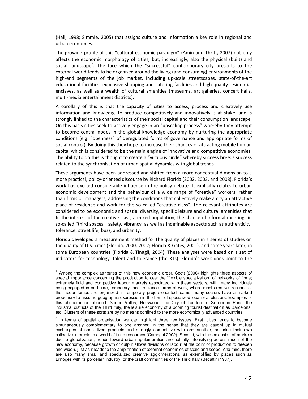(Hall, 1998; Simmie, 2005) that assigns culture and information a key role in regional and urban economies.

The growing profile of this "cultural-economic paradigm" (Amin and Thrift, 2007) not only affects the economic morphology of cities, but, increasingly, also the physical (built) and social landscape<sup>2</sup>. The face which the "successful" contemporary city presents to the external world tends to be organised around the living (and consuming) environments of the high-end segments of the job market, including up-scale streetscapes, state-of-the-art educational facilities, expensive shopping and catering facilities and high quality residential enclaves, as well as a wealth of cultural amenities (museums, art galleries, concert halls, multi-media entertainment districts).

A corollary of this is that the capacity of cities to access, process and creatively use information and knowledge to produce competitively and innovatively is at stake, and is strongly linked to the characteristics of their social capital and their consumption landscape. On this basis cities seek to actively engage in an "upscaling process" whereby they attempt to become central nodes in the global knowledge economy by nurturing the appropriate conditions (e.g. "openness" of deregulated forms of governance and appropriate forms of social control). By doing this they hope to increase their chances of attracting mobile human capital which is considered to be the main engine of innovative and competitive economies. The ability to do this is thought to create a "virtuous circle" whereby success breeds success related to the synchronisation of urban spatial dynamics with global trends<sup>3</sup>.

These arguments have been addressed and shifted from a more conceptual dimension to a more practical, policy-oriented discourse by Richard Florida (2002, 2003, and 2008). Florida's work has exerted considerable influence in the policy debate. It explicitly relates to urban economic development and the behaviour of a wide range of "creative" workers, rather than firms or managers, addressing the conditions that collectively make a city an attractive place of residence and work for the so called "creative class". The relevant attributes are considered to be economic and spatial diversity, specific leisure and cultural amenities that fit the interest of the creative class, a mixed population, the chance of informal meetings in so-called "third spaces", safety, vibrancy, as well as indefinable aspects such as authenticity, tolerance, street life, buzz, and urbanity.

Florida developed a measurement method for the quality of places in a series of studies on the quality of U.S. cities (Florida, 2000, 2002; Florida & Gates, 2001), and some years later, in some European countries (Florida & Tinagli, 2004). These analyses were based on a set of indicators for technology, talent and tolerance (the 3Ts). Florida's work does point to the

 2 Among the complex attributes of this new economic order, Scott (2006) highlights three aspects of special importance concerning the production forces: the "flexible specialization" of networks of firms; extremely fluid and competitive labour markets associated with these sectors, with many individuals being engaged in part-time, temporary, and freelance forms of work, where most creative fractions of the labour forces are organized in temporary project-oriented teams; many sectors have a marked propensity to assume geographic expression in the form of specialized locational clusters. Examples of this phenomenon abound: Silicon Valley, Hollywood, the City of London, le Sentier in Paris, the industrial districts of the Third Italy, the leisure economy of a booming tourist destination as Barcelona, etc. Clusters of these sorts are by no means confined to the more economically advanced countries.

 $3$  In terms of spatial organisation we can highlight three key issues. First, cities tends to become simultaneously complementary to one another, in the sense that they are caught up in mutual exchanges of specialized products and strongly competitive with one another, securing their own collective interests in a world of finite resources (Camagni 2002). Second, with the extension of markets due to globalization, trends toward urban agglomeration are actually intensifying across much of the new economy, because growth of output allows divisions of labour at the point of production to deepen and widen, just as it leads to the amplification of external economies of scale and scope. And third, there are also many small and specialized creative agglomerations, as exemplified by places such as Limoges with its porcelain industry, or the craft communities of the Third Italy (Becattini 1987).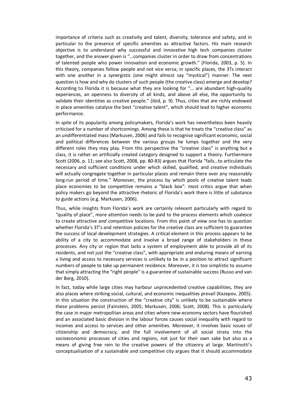importance of criteria such as creativity and talent, diversity, tolerance and safety, and in particular to the presence of specific amenities as attractive factors. His main research objective is to understand why successful and innovative high tech companies cluster together, and the answer given is "…companies cluster in order to draw from concentrations of talented people who power innovation and economic growth." (Florida, 2003, p. 5). In this theory, companies follow people and not vice versa; in specific places, the 3Ts interact with one another in a synergistic (one might almost say "mystical") manner. The next question is how and why do clusters of such people (the creative class) emerge and develop? According to Florida it is because what they are looking for "… are abundant high-quality experiences, an openness to diversity of all kinds, and above all else, the opportunity to validate their identities as creative people." (ibid, p. 9). Thus, cities that are richly endowed in place amenities catalyse the best "creative talent", which should lead to higher economic performance.

In spite of its popularity among policymakers, Florida's work has nevertheless been heavily criticised for a number of shortcomings. Among these is that he treats the "creative class" as an undifferentiated mass (Markusen, 2006) and fails to recognise significant economic, social and political differences between the various groups he lumps together and the very different roles they may play. From this perspective the "creative class" is anything but a class, it is rather an artificially created category designed to support a theory. Furthermore Scott (2006, p. 11; see also Scott, 2008, pp. 80-83) argues that Florida "fails…to articulate the necessary and sufficient conditions under which skilled, qualified, and creative individuals will actually congregate together in particular places and remain there over any reasonably long-run period of time." Moreover, the process by which pools of creative talent leads place economies to be competitive remains a "black box": most critics argue that when policy makers go beyond the attractive rhetoric of Florida's work there is little of substance to guide actions (e.g. Markusen, 2006).

Thus, while insights from Florida's work are certainly relevant particularly with regard to "quality of place", more attention needs to be paid to the process elements which coalesce to create attractive *and* competitive locations. From this point of view one has to question whether Florida's 3T's and retention policies for the creative class are sufficient to guarantee the success of local development strategies. A critical element in this process appears to be ability of a city to accommodate and involve a broad range of stakeholders in these processes. Any city or region that lacks a system of employment able to provide all of its residents, and not just the "creative class", with appropriate and enduring means of earning a living and access to necessary services is unlikely to be in a position to attract significant numbers of people to take up permanent residence. Moreover, it is too simplistic to assume that simply attracting the "right people" is a guarantee of sustainable success (Russo and van der Borg, 2010).

In fact, today while large cities may harbour unprecedented creative capabilities, they are also places where striking social, cultural, and economic inequalities prevail (Kazepov, 2005). In this situation the construction of the "creative city" is unlikely to be sustainable where these problems persist (Fainstein, 2005; Markusen, 2006; Scott, 2008). This is particularly the case in major metropolitan areas and cities where new-economy sectors have flourished and an associated basic division in the labour forces causes social inequality with regard to incomes and access to services and other amenities. Moreover, it involves basic issues of citizenship and democracy, and the full involvement of all social strata into the socioeconomic processes of cities and regions, not just for their own sake but also as a means of giving free rein to the creative powers of the citizenry at large. Martinotti's conceptualisation of a sustainable and competitive city argues that it should accommodate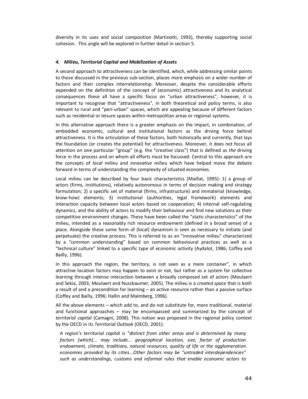diversity in its uses and social composition (Martinotti, 1993), thereby supporting social cohesion. This angle will be explored in further detail in section 5.

#### *4. Milieu, Territorial Capital and Mobilization of Assets*

A second approach to attractiveness can be identified, which, while addressing similar points to those discussed in the previous sub-section, places more emphasis on a wider number of factors and their complex interrelationship. Moreover, despite the considerable efforts expended on the definition of the concept of (economic) attractiveness and its analytical consequences these all have a specific focus on "urban attractiveness", however, it is important to recognise that "attractiveness", in both theoretical and policy terms, is also relevant to rural and "peri-urban" spaces, which are appealing because of different factors such as residential or leisure spaces within metropolitan areas or regional systems.

In this alternative approach there is a greater emphasis on the impact, in combination, of embedded economic, cultural and institutional factors as the driving force behind attractiveness. It is the articulation of these factors, both historically and currently, that lays the foundation (or creates the potential) for attractiveness. Moreover, it does not focus all attention on one particular "group" (e.g. the "creative class") that is defined as *the* driving force in the process and on whom all efforts must be focussed. Central to this approach are the concepts of *local milieu* and *innovative milieu* which have helped move the debate forward in terms of understanding the complexity of situated economies.

Local milieu can be described by four basic characteristics (Maillat, 1995): 1) a group of actors (firms, institutions), relatively autonomous in terms of decision making and strategy formulation; 2) a specific set of material (firms, infrastructure) and immaterial (knowledge, know-how) elements; 3) institutional (authorities, legal framework) elements and interaction capacity between local actors based on cooperation; 4) internal self-regulating dynamics, and the ability of actors to modify their behaviour and find new solutions as their competitive environment changes. These have been called the "static characteristics" of the milieu, intended as a reasonably rich resource endowment (defined in a broad sense) of a place. Alongside these some form of (local) dynamism is seen as necessary to initiate (and perpetuate) the creative process. This is referred to as an "innovative milieu" characterized by a "common understanding" based on common behavioural practices as well as a "technical culture" linked to a specific type of economic activity (Aydalot, 1986; Coffey and Bailly, 1996).

In this approach the region, the territory, is not seen as a mere container", in which attractive location factors may happen to exist or not, but rather as a system for collective learning through intense interaction between a broadly composed set of actors (Moulaert and Sekia, 2003; Moulaert and Nussbaumer, 2005). The milieu is a *created space* that is both a result of and a precondition for learning – an active resource rather than a passive surface (Coffey and Bailly, 1996; Hallin and Malmberg, 1996).

All the above elements – which add to, and do not substitute for, more traditional, material and functional approaches – may be encompassed and summarized by the concept of *territorial capital* (Camagni, 2008). This notion was proposed in the regional policy context by the OECD in its *Territorial Outlook* (OECD, 2001):

*A region's territorial capital is "distinct from other areas and is determined by many*  factors [which]... may include... geographical location, size, factor of production *endowment, climate, traditions, natural resources, quality of life or the agglomeration economies provided by its cities...Other factors may be "untraded interdependencies" such as understandings, customs and informal rules that enable economic actors to*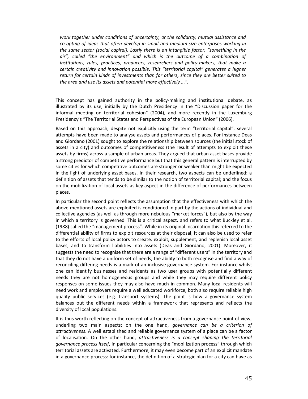*work together under conditions of uncertainty, or the solidarity, mutual assistance and co-opting of ideas that often develop in small and medium-size enterprises working in the same sector (social capital). Lastly there is an intangible factor, "something in the air", called "the environment" and which is the outcome of a combination of institutions, rules, practices, producers, researchers and policy-makers, that make a certain creativity and innovation possible. This "territorial capital" generates a higher return for certain kinds of investments than for others, since they are better suited to the area and use its assets and potential more effectively ...".* 

This concept has gained authority in the policy-making and institutional debate, as illustrated by its use, initially by the Dutch Presidency in the "Discussion paper for the informal meeting on territorial cohesion" (2004), and more recently in the Luxemburg Presidency's "The Territorial States and Perspectives of the European Union" (2006).

Based on this approach, despite not explicitly using the term "territorial capital", several attempts have been made to analyse assets and performances of places. For instance Deas and Giordano (2001) sought to explore the relationship between sources (the initial stock of assets in a city) and outcomes of competitiveness (the result of attempts to exploit these assets by firms) across a sample of urban areas. They argued that urban asset bases provide a strong predictor of competitive performance but that this general pattern is interrupted by some cities for which competitive outcomes are stronger or weaker than might be expected in the light of underlying asset bases. In their research, two aspects can be underlined: a definition of assets that tends to be similar to the notion of territorial capital; and the focus on the mobilization of local assets as key aspect in the difference of performances between places.

In particular the second point reflects the assumption that the effectiveness with which the above-mentioned assets are exploited is conditioned in part by the actions of individual and collective agencies (as well as through more nebulous "market forces"), but also by the way in which a territory is governed. This is a critical aspect, and refers to what Buckley et al. (1988) called the "management process". While in its original incarnation this referred to the differential ability of firms to exploit resources at their disposal, it can also be used to refer to the efforts of local policy actors to create, exploit, supplement, and replenish local asset bases, and to transform liabilities into assets (Deas and Giordano, 2001). Moreover, it suggests the need to recognise that there are a range of "different users" in the territory and that they do not have a uniform set of needs, the ability to both recognise and find a way of reconciling differing needs is a mark of an inclusive governance system. For instance whilst one can identify businesses and residents as two user groups with potentially different needs they are not homogeneous groups and while they may require different policy responses on some issues they may also have much in common. Many local residents will need work and employers require a well educated workforce, both also require reliable high quality public services (e.g. transport systems). The point is how a governance system balances out the different needs within a framework that represents and reflects the diversity of local populations.

It is thus worth reflecting on the concept of attractiveness from a governance point of view, underling two main aspects: on the one hand, *governance can be a criterion of attractiveness*. A well established and reliable governance system of a place can be a factor of localisation. On the other hand, *attractiveness is a concept shaping the territorial governance process itself*, in particular concerning the "mobilization process" through which territorial assets are activated. Furthermore, it may even become part of an explicit mandate in a governance process: for instance, the definition of a strategic plan for a city can have as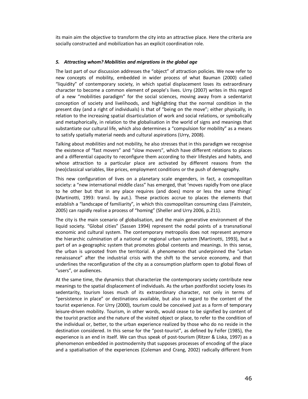its main aim the objective to transform the city into an attractive place. Here the criteria are socially constructed and mobilization has an explicit coordination role.

#### *5. Attracting whom? Mobilities and migrations in the global age*

The last part of our discussion addresses the "object" of attraction policies. We now refer to new concepts of mobility, embedded in wider process of what Bauman (2000) called "liquidity" of contemporary society, in which spatial displacement loses its extraordinary character to become a common element of people's lives. Urry (2007) writes in this regard of a new "mobilities paradigm" for the social sciences, moving away from a sedentarist conception of society and livelihoods, and highlighting that the normal condition in the present day (and a right of individuals) is that of "being on the move"; either physically, in relation to the increasing spatial disarticulation of work and social relations, or symbolically and metaphorically, in relation to the globalisation in the world of signs and meanings that substantiate our cultural life, which also determines a "compulsion for mobility" as a means to satisfy spatially material needs and cultural aspirations (Urry, 2008).

Talking about *mobilities* and not mobility, he also stresses that in this paradigm we recognise the existence of "fast movers" and "slow movers", which have different relations to places and a differential capacity to reconfigure them according to their lifestyles and habits, and whose attraction to a particular place are activated by different reasons from the (neo)classical variables, like prices, employment conditions or the push of demography.

This new configuration of lives on a planetary scale engenders, in fact, a cosmopolitan society: a "new international middle class" has emerged, that 'moves rapidly from one place to he other but that in any place requires (and does) more or less the same things' (Martinotti, 1993: transl. by aut.). These practices accrue to places the elements that establish a "landscape of familiarity", in which this cosmopolitan consuming class (Fainstein, 2005) can rapidly realise a process of "homing" (Sheller and Urry 2006, p.211).

The city is the main scenario of globalisation, and the main generative environment of the liquid society. "Global cities" (Sassen 1994) represent the nodal points of a transnational economic and cultural system. The contemporary metropolis does not represent anymore the hierarchic culmination of a national or regional urban system (Martinotti, 1993), but a part of an a-geographic system that promotes global contents and meanings. In this sense, the urban is uprooted from the territorial. A phenomenon that underpinned the "urban renaissance" after the industrial crisis with the shift to the service economy, and that underlines the reconfiguration of the city as a consumption platform open to global flows of "users", or audiences.

At the same time, the dynamics that characterize the contemporary society contribute new meanings to the spatial displacement of individuals. As the urban postfordist society loses its sedentarity, tourism loses much of its extraordinary character, not only in terms of "persistence in place" or destinations available, but also in regard to the content of the tourist experience. For Urry (2000), tourism could be conceived just as a form of temporary leisure-driven mobility. Tourism, in other words, would cease to be signified by content of the tourist practice and the nature of the visited object or place, to refer to the condition of the individual or, better, to the urban experience realized by those who do no reside in the destination considered. In this sense for the "post-tourist", as defined by Feifer (1985), the experience is an end in itself. We can thus speak of post-tourism (Ritzer & Liska, 1997) as a phenomenon embedded in postmodernity that supposes processes of encoding of the place and a spatialisation of the experiences (Coleman and Crang, 2002) radically different from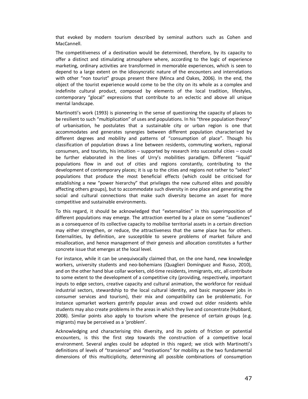that evoked by modern tourism described by seminal authors such as Cohen and MacCannell.

The competitiveness of a destination would be determined, therefore, by its capacity to offer a distinct and stimulating atmosphere where, according to the logic of experience marketing, ordinary activities are transformed in memorable experiences, which is seen to depend to a large extent on the idiosyncratic nature of the encounters and interrelations with other "non tourist" groups present there (Minca and Oakes, 2006). In the end, the object of the tourist experience would come to be the city on its whole as a complex and indefinite cultural product, composed by elements of the local tradition, lifestyles, contemporary "glocal" expressions that contribute to an eclectic and above all unique mental landscape.

Martinotti's work (1993) is pioneering in the sense of questioning the capacity of places to be resilient to such "multiplication" of uses and populations. In his "three population theory" of urbanisation, he postulates that a sustainable city or urban region is one that accommodates and generates synergies between different population characterised by different degrees and mobility and patterns of "consumption of place". Though his classification of population draws a line between residents, commuting workers, regional consumers, and tourists, his intuition – supported by research into successful cities – could be further elaborated in the lines of Urry's mobilities paradigm. Different "liquid" populations flow in and out of cities and regions constantly, contributing to the development of contemporary places; it is up to the cities and regions not rather to "select" populations that produce the most beneficial effects (which could be criticised for establishing a new "power hierarchy" that privileges the new cultured elites and possibly affecting others groups), but to accommodate such diversity in one place and generating the social and cultural connections that make such diversity become an asset for more competitive and sustainable environments.

To this regard, it should be acknowledged that "externalities" in this superimposition of different populations may emerge. The attraction exerted by a place on some "audiences" as a consequence of its collective capacity to mobilise territorial assets in a certain direction may either strengthen, or reduce, the attractiveness that the same place has for others. Externalities, by definition, are susceptible to severe problems of market failure and misallocation, and hence management of their genesis and allocation constitutes a further concrete issue that emerges at the local level.

For instance, while it can be unequivocally claimed that, on the one hand, new knowledge workers, university students and neo-bohemians (Quaglieri Domínguez and Russo, 2010), and on the other hand blue collar workers, old-time residents, immigrants, etc, all contribute to some extent to the development of a competitive city (providing, respectively, important inputs to edge sectors, creative capacity and cultural animation, the workforce for residual industrial sectors, stewardship to the local cultural identity, and basic manpower jobs in consumer services and tourism), their mix and compatibility can be problematic. For instance upmarket workers gentrify popular areas and crowd out older residents while students may also create problems in the areas in which they live and concentrate (Hubbard, 2008). Similar points also apply to tourism where the presence of certain groups (e.g. migrants) may be perceived as a 'problem'.

Acknowledging and characterising this diversity, and its points of friction or potential encounters, is this the first step towards the construction of a competitive local environment. Several angles could be adopted in this regard; we stick with Martinotti's definitions of levels of "transience" and "motivations" for mobility as the two fundamental dimensions of this multiciplicity, determining all possible combinations of consumption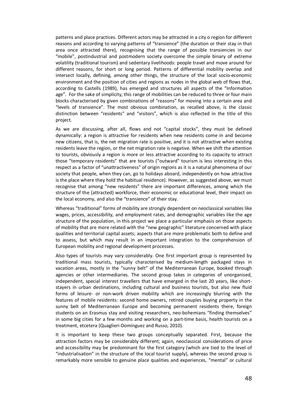patterns and place practices. Different actors may be attracted in a city o region for different reasons and according to varying patterns of "transience" (the duration or their stay in that area once attracted there), recognising that the range of possible transiencies in our "mobile", postindustrial and postmodern society overcome the simple binary of extreme volatility (traditional tourism) and sedentary livelihoods: people travel and move around for different reasons, for short or long period. Patterns of differential mobility overlap and intersect locally, defining, among other things, the structure of the local socio-economic environment and the position of cities and regions as nodes in the global web of flows that, according to Castells (1989), has emerged and structures all aspects of the "Information age". For the sake of simplicity, this range of mobilities can be reduced to three or four main blocks characterised by given combinations of "reasons" for moving into a certain area and "levels of transience". The most obvious combination, as recalled above, is the classic distinction between "residents" and "visitors", which is also reflected in the title of this project.

As we are discussing, after all, flows and not "capital stocks", they must be defined dynamically: a region is attractive for residents when new residents come in and become new citizens, that is, the net migration rate is positive, and it is not attractive when existing residents leave the region, or the net migration rate is negative. When we shift the attention to tourists, obviously a region is more or less attractive according to its capacity to attract those "temporary residents" that are tourists ("outward" tourism is less interesting in this respect as a factor of "unattractiveness" of origin regions as it is a natural phenomena of our society that people, when they can, go to holidays aboard, independently on how attractive is the place where they hold the habitual residence). However, as suggested above, we must recognise that among "new residents" there are important differences, among which the structure of the (attracted) workforce, their economic or educational level, their impact on the local economy, and also the "transience" of their stay.

Whereas "traditional" forms of mobility are strongly dependent on neoclassical variables like wages, prices, accessibility, and employment rates, and demographic variables like the age structure of the population, in this project we place a particular emphasis on those aspects of mobility that are more related with the "new geographic" literature concerned with place qualities and territorial capital assets; aspects that are more problematic both to define and to assess, but which may result in an important integration to the comprehension of European mobility and regional development processes.

Also types of tourists may vary considerably. One first important group is represented by traditional mass tourists, typically characterised by medium-length packaged stays in vacation areas, mostly in the "sunny belt" of the Mediterranean Europe, booked through agencies or other intermediaries. The second group takes in categories of unorganised, independent, special interest travellers that have emerged in the last 20 years, like shortstayers in urban destinations, including cultural and business tourists, but also new fluid forms of leisure- or non-work driven mobility which are increasingly blurring with the features of mobile residents: second home owners, retired couples buying property in the sunny belt of Mediterranean Europe and becoming permanent residents there, foreign students on an Erasmus stay and visiting researchers, neo-bohemians "finding themselves" in some big cities for a few months and working on a part-time basis, health tourists on a treatment, etcetera (Quaglieri-Domínguez and Russo, 2010).

It is important to keep these two groups conceptually separated. First, because the attraction factors may be considerably different; again, neoclassical considerations of price and accessibility may be predominant for the first category (which are tied to the level of "industrialisation" in the structure of the local tourist supply), whereas the second group is remarkably more sensible to genuine place qualities and experiences, "mental" or cultural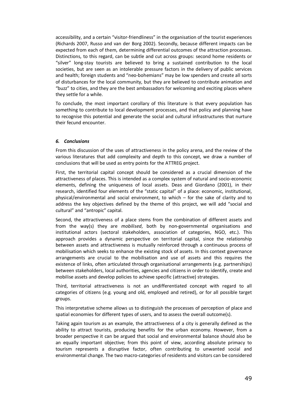accessibility, and a certain "visitor-friendliness" in the organisation of the tourist experiences (Richards 2007, Russo and van der Borg 2002). Secondly, because different impacts can be expected from each of them, determining differential outcomes of the attraction processes. Distinctions, to this regard, can be subtle and cut across groups: second home residents or "silver" long-stay tourists are believed to bring a sustained contribution to the local societies, but are seen as an intolerable pressure factors in the delivery of public services and health; foreign students and "neo-bohemians" may be low spenders and create all sorts of disturbances for the local community, but they are believed to contribute animation and "buzz" to cities, and they are the best ambassadors for welcoming and exciting places where they settle for a while.

To conclude, the most important corollary of this literature is that every population has something to contribute to local development processes, and that policy and planning have to recognise this potential and generate the social and cultural infrastructures that nurture their fecund encounter.

#### *6. Conclusions*

From this discussion of the uses of attractiveness in the policy arena, and the review of the various literatures that add complexity and depth to this concept, we draw a number of conclusions that will be used as entry points for the ATTREG project.

First, the territorial capital concept should be considered as a crucial dimension of the attractiveness of places. This is intended as a complex system of natural and socio-economic elements, defining the uniqueness of local assets. Deas and Giordano (2001), in their research, identified four elements of the "static capital" of a place: economic, institutional, physical/environmental and social environment, to which – for the sake of clarity and to address the key objectives defined by the theme of this project, we will add "social and cultural" and "antropic" capital.

Second, the attractiveness of a place stems from the combination of different assets and from the way(s) they are *mobilised*, both by non-governmental organisations and institutional actors (sectoral stakeholders, association of categories, NGO, etc.). This approach provides a dynamic perspective on territorial capital, since the relationship between assets and attractiveness is mutually reinforced through a continuous process of mobilisation which seeks to enhance the existing stock of assets. In this context governance arrangements are crucial to the mobilisation and use of assets and this requires the existence of links, often articulated through organisational arrangements (e.g. partnerships) between stakeholders, local authorities, agencies and citizens in order to identify, create and mobilise assets and develop policies to achieve specific (attractive) strategies.

Third, territorial attractiveness is not an undifferentiated concept with regard to all categories of citizens (e.g. young and old, employed and retired), or for all possible target groups.

This interpretative scheme allows us to distinguish the processes of perception of place and spatial economies for different types of users, and to assess the overall outcome(s).

Taking again tourism as an example, the attractiveness of a city is generally defined as the ability to attract tourists, producing benefits for the urban economy. However, from a broader perspective it can be argued that social and environmental balance should also be an equally important objective; from this point of view, according absolute primacy to tourism represents a disruptive factor, often contributing to unwanted social and environmental change. The two macro-categories of residents and visitors can be considered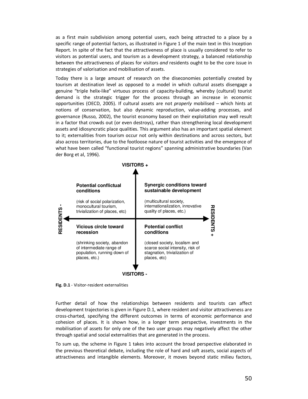as a first main subdivision among potential users, each being attracted to a place by a specific range of potential factors, as illustrated in Figure 1 of the main text in this Inception Report. In spite of the fact that the attractiveness of place is usually considered to refer to visitors as potential users, and tourism as a development strategy, a balanced relationship between the attractiveness of places for visitors *and* residents ought to be the core issue in strategies of valorisation and mobilisation of assets.

Today there is a large amount of research on the diseconomies potentially created by tourism at destination level as opposed to a model in which cultural assets disengage a genuine "triple helix-like" virtuous process of capacity-building, whereby (cultural) tourist demand is the strategic trigger for the process through an increase in economic opportunities (OECD, 2005). If cultural assets are not *properly* mobilised – which hints at notions of conservation, but also dynamic reproduction, value-adding processes, and governance (Russo, 2002), the tourist economy based on their exploitation may well result in a factor that crowds out (or even destroys), rather than strengthening local development assets and idiosyncratic place qualities. This argument also has an important spatial element to it; externalities from tourism occur not only within destinations and across sectors, but also across territories, due to the footloose nature of tourist activities and the emergence of what have been called "functional tourist regions" spanning administrative boundaries (Van der Borg et al, 1996).



**Fig. D.1** - Visitor-resident externalities

Further detail of how the relationships between residents and tourists can affect development trajectories is given in Figure D.1, where resident and visitor attractiveness are cross-charted, specifying the different outcomes in terms of economic performance and cohesion of places. It is shown how, in a longer term perspective, investments in the mobilisation of assets for only one of the two user groups may negatively affect the other through spatial and social externalities that are generated in the process.

To sum up, the scheme in Figure 1 takes into account the broad perspective elaborated in the previous theoretical debate, including the role of hard and soft assets, social aspects of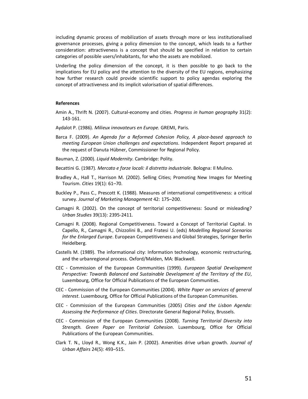including dynamic process of mobilization of assets through more or less institutionalised governance processes, giving a policy dimension to the concept, which leads to a further consideration: attractiveness is a concept that should be specified in relation to certain categories of possible users/inhabitants, for who the assets are mobilized.

Underling the policy dimension of the concept, it is then possible to go back to the implications for EU policy and the attention to the diversity of the EU regions, emphasizing how further research could provide scientific support to policy agendas exploring the concept of attractiveness and its implicit valorisation of spatial differences.

#### **References**

- Amin A., Thrift N. (2007). Cultural-economy and cities. *Progress in human geography* 31(2): 143-161.
- Aydalot P. (1986). *Milieux innovateurs en Europe.* GREMI, Paris.
- Barca F. (2009). *An Agenda for a Reformed Cohesion Policy, A place-based approach to meeting European Union challenges and expectations*. Independent Report prepared at the request of Danuta Hübner, Commissioner for Regional Policy.
- Bauman, Z. (2000). *Liquid Modernity*. Cambridge: Polity.
- Becattini G. (1987). *Mercato e forze locali: il distretto industriale*. Bologna: Il Mulino.
- Bradley A., Hall T., Harrison M. (2002). Selling Cities; Promoting New Images for Meeting Tourism. *Cities* 19(1): 61–70.
- Buckley P., Pass C., Prescott K. (1988). Measures of international competitiveness: a critical survey. *Journal of Marketing Management* 42: 175–200.
- Camagni R. (2002). On the concept of territorial competitiveness: Sound or misleading? *Urban Studies* 39(13): 2395-2411.
- Camagni R. (2008). Regional Competitiveness. Toward a Concept of Territorial Capital. In Capello, R., Camagni R., Chizzolini B., and Fratesi U. (eds) *Modelling Regional Scenarios for the Enlarged Europe*. European Competitiveness and Global Strategies, Springer Berlin Heidelberg.
- Castells M. (1989). The informational city: Information technology, economic restructuring, and the urbanregional process. Oxford/Malden, MA: Blackwell.
- CEC Commission of the European Communities (1999). *European Spatial Development Perspective: Towards Balanced and Sustainable Development of the Territory of the EU*, Luxembourg, Office for Official Publications of the European Communities.
- CEC Commission of the European Communities (2004). *White Paper on services of general interest*. Luxembourg, Office for Official Publications of the European Communities.
- CEC Commission of the European Communities (2005) *Cities and the Lisbon Agenda: Assessing the Performance of Cities*. Directorate General Regional Policy, Brussels.
- CEC Commission of the European Communities (2008). *Turning Territorial Diversity into Strength. Green Paper on Territorial Cohesion*. Luxembourg, Office for Official Publications of the European Communities.
- Clark T. N., Lloyd R., Wong K.K., Jain P. (2002). Amenities drive urban growth. *Journal of Urban Affairs* 24(5): 493–515.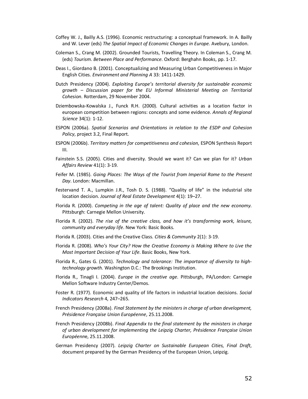- Coffey W. J., Bailly A.S. (1996). Economic restructuring: a conceptual framework. In A. Bailly and W. Lever (eds) *The Spatial Impact of Economic Changes in Europe.* Avebury, London.
- Coleman S., Crang M. (2002). Grounded Tourists, Travelling Theory. In Coleman S., Crang M. (eds) *Tourism. Between Place and Performance*. Oxford: Berghahn Books, pp. 1-17.
- Deas I., Giordano B. (2001). Conceptualizing and Measuring Urban Competitiveness in Major English Cities. *Environment and Planning A* 33: 1411-1429.
- Dutch Presidency (2004). *Exploiting Europe's territorial diversity for sustainable economic growth – Discussion paper for the EU Informal Ministerial Meeting on Territorial Cohesion*. Rotterdam, 29 November 2004.
- Dziembowska-Kowalska J., Funck R.H. (2000). Cultural activities as a location factor in european competition between regions: concepts and some evidence. *Annals of Regional Science* 34(1): 1-12.
- ESPON (2006a). *Spatial Scenarios and Orientations in relation to the ESDP and Cohesion Policy*, project 3.2, Final Report.
- ESPON (2006b). *Territory matters for competitiveness and cohesion*, ESPON Synthesis Report III.
- Fainstein S.S. (2005). Cities and diversity. Should we want it? Can we plan for it? *Urban Affairs Review* 41(1): 3-19.
- Feifer M. (1985). *Going Places: The Ways of the Tourist from Imperial Rome to the Present Day*. London: Macmillan.
- Festervand T. A., Lumpkin J.R., Tosh D. S. (1988). "Quality of life" in the industrial site location decision. *Journal of Real Estate Development* 4(1): 19–27.
- Florida R. (2000). *Competing in the age of talent: Quality of place and the new economy*. Pittsburgh: Carnegie Mellon University.
- Florida R. (2002). *The rise of the creative class, and how it's transforming work, leisure, community and everyday life*. New York: Basic Books.
- Florida R. (2003). Cities and the Creative Class. *Cities & Community* 2(1): 3-19.
- Florida R. (2008). *Who's Your City? How the Creative Economy is Making Where to Live the Most Important Decision of Your Life*. Basic Books, New York.
- Florida R., Gates G. (2001). *Technology and tolerance: The importance of diversity to hightechnology growth.* Washington D.C.: The Brookings Institution.
- Florida R., Tinagli I. (2004). *Europe in the creative age*. Pittsburgh, PA/London: Carnegie Mellon Software Industry Center/Demos.
- Foster R. (1977). Economic and quality of life factors in industrial location decisions. *Social Indicators Research* 4, 247–265.
- French Presidency (2008a). *Final Statement by the ministers in charge of urban development, Présidence Française Union Européenne*, 25.11.2008.
- French Presidency (2008b). *Final Appendix to the final statement by the ministers in charge of urban development for implementing the Leipzig Charter, Présidence Française Union Européenn*e, 25.11.2008.
- German Presidency (2007). *Leipzig Charter on Sustainable European Cities, Final Draft*, document prepared by the German Presidency of the European Union, Leipzig.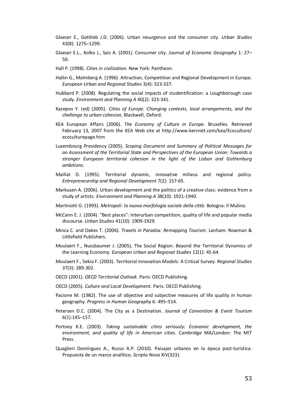- Glaeser E., Gottlieb J.D. (2006). Urban resurgence and the consumer city. *Urban Studies* 43(8): 1275–1299.
- Glaeser E.L., Kolko J., Saiz A. (2001). Consumer city. *Journal of Economic Geography* 1: 27– 50.
- Hall P. (1998). *Cities in civilization*. New York: Pantheon.
- Hallin G., Malmberg A. (1996). Attraction, Competition and Regional Development in Europe. *European Urban and Regional Studies* 3(4): 323-337.
- Hubbard P. (2008). Regulating the social impacts of studentification: a Loughborough case study. *Environment and Planning A* 40(2): 323-341.
- Kazepov Y. (ed) (2005). *Cities of Europe. Changing contexts, local arrangements, and the challenge to urban cohesion*, Blackwell, Oxford.
- KEA European Affairs (2006). *The Economy of Culture in Europe*. Bruxelles. Retrieved February 13, 2007 from the KEA Web site at http://www.kernnet.com/kea/Ecoculture/ ecoculturepage.htm
- Luxembourg Presidency (2005). *Scoping Document and Summary of Political Messages for an Assessment of the Territorial State and Perspectives of the European Union: Towards a stronger European territorial cohesion in the light of the Lisbon and Gothenburg ambitions*.
- Maillat D. (1995). Territorial dynamic, innovative milieus and regional policy. *Entrepreneurship and Regional Development* 7(2): 157-65.
- Markusen A. (2006). Urban development and the politics of a creative class: evidence from a study of artists. *Environment and Planning A* 38(10): 1921-1940.
- Martinotti G. (1993). *Metropoli: la nuova morfologia sociale della città*. Bologna: Il Mulino.
- McCann E. J. (2004). "Best places": Interurban competition, quality of life and popular media discourse. *Urban Studies* 41(10): 1909-1929.
- Minca C. and Oakes T. (2006). *Travels in Paradox: Remapping Tourism*. Lanham: Rowman & Littlefield Publishers.
- Moulaert F., Nussbaumer J. (2005), The Social Region: Beyond the Territorial Dynamics of the Learning Economy. *European Urban and Regional Studies* 12(1): 45-64.
- Moulaert F., Sekia F. (2003). Territorial Innovation Models: A Critical Survey. *Regional Studies*  37(3): 289-302.
- OECD (2001). *OECD Territorial Outlook*. Paris: OECD Publishing.
- OECD (2005). *Culture and Local Development*. Paris: OECD Publishing.
- Pacione M. (1982). The use of objective and subjective measures of life quality in human geography. *Progress in Human Geography* 6: 495–514.
- Petersen D.C. (2004). The City as a Destination. *Journal of Convention & Event Tourism* 6(1):145–157.
- Portney K.E. (2003). *Taking sustainable cities seriously: Economic development, the environment, and quality of life in American cities*. Cambridge MA/London: The MIT Press.
- Quaglieri Domínguez A., Russo A.P. (2010). Paisajes urbanos en la época post-turística. Propuesta de un marco analítico. *Scripta Nova* XIV(323).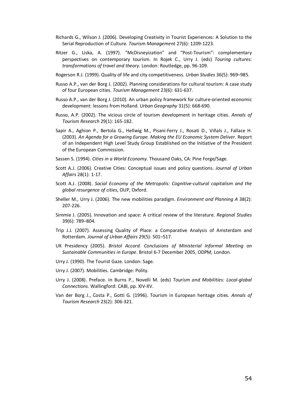- Richards G., Wilson J. (2006). Developing Creativity in Tourist Experiences: A Solution to the Serial Reproduction of Culture. *Tourism Management* 27(6): 1209-1223.
- Ritzer G., Liska, A. (1997). "McDisneyization" and "Post-Tourism": complementary perspectives on contemporary tourism. In Rojek C., Urry J. (eds) *Touring cultures: transformations of travel and theory*. London: Routledge, pp. 96-109.
- Rogerson R.J. (1999). Quality of life and city competitiveness. *Urban Studies* 36(5): 969–985.
- Russo A.P., van der Borg J. (2002). Planning considerations for cultural tourism: A case study of four European cities. *Tourism Management* 23(6): 631-637.
- Russo A.P., van der Borg J. (2010). An urban policy framework for culture-oriented economic development: lessons from Holland. *Urban Geography* 31(5): 668-690.
- Russo, A.P. (2002). The vicious circle of tourism development in heritage cities. *Annals of Tourism Research* 29(1): 165-182.
- Sapir A., Aghion P., Bertola G., Hellwig M., Pisani-Ferry J., Rosati D., Viñals J., Fallace H. (2003). *An Agenda for a Growing Europe. Making the EU Economic System Deliver*. Report of an Independent High Level Study Group Established on the Initiative of the President of the European Commission.
- Sassen S. (1994). *Cities in a World Economy*. Thousand Oaks, CA: Pine Forge/Sage.
- Scott A.J. (2006). Creative Cities: Conceptual issues and policy questions. *Journal of Urban Affairs* 28(1): 1-17.
- Scott A.J. (2008). *Social Economy of the Metropolis: Cognitive-cultural capitalism and the global resurgence of cities*, OUP, Oxford.
- Sheller M., Urry J. (2006). The new mobilities paradigm. *Environment and Planning A* 38(2): 207-226.
- Simmie J. (2005). Innovation and space: A critical review of the literature. *Regional Studies* 39(6): 789–804.
- Trip J.J. (2007). Assessing Quality of Place: a Comparative Analysis of Amsterdam and Rotterdam. *Journal of Urban Affairs* 29(5): 501–517.
- UK Presidency (2005). *Bristol Accord. Conclusions of Ministerial Informal Meeting on Sustainable Communities in Europe*. Bristol 6-7 December 2005, ODPM, London.
- Urry J. (1990). The Tourist Gaze. London: Sage.
- Urry J. (2007). Mobilities. Cambridge: Polity.
- Urry J. (2008). Preface. In Burns P., Novelli M. (eds) *Tourism and Mobilities: Local-global Connections*. Wallingford: CABI, pp. XIV-XV.
- Van der Borg J., Costa P., Gotti G. (1996). Tourism in European heritage cities. *Annals of Tourism Research* 23(2): 306-321.